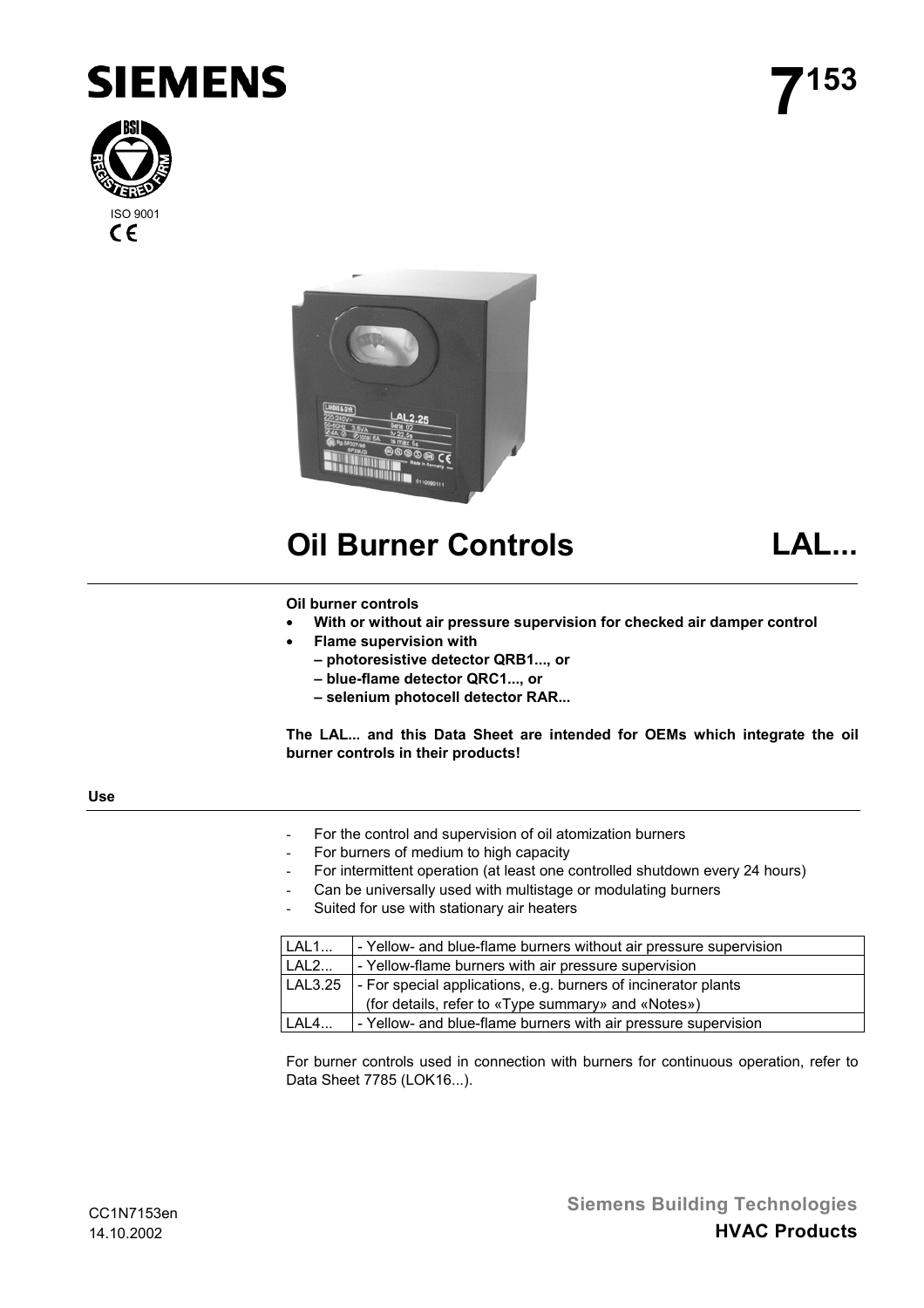





# **Oil Burner Controls LAL...**

## **Oil burner controls**

- **With or without air pressure supervision for checked air damper control**
- **Flame supervision with**
	- **photoresistive detector QRB1..., or**
	- **blue-flame detector QRC1..., or**
	- **selenium photocell detector RAR...**

**The LAL... and this Data Sheet are intended for OEMs which integrate the oil burner controls in their products!**

**Use**

- For the control and supervision of oil atomization burners
- For burners of medium to high capacity
- For intermittent operation (at least one controlled shutdown every 24 hours)
- Can be universally used with multistage or modulating burners
- Suited for use with stationary air heaters

| LAL1    | - Yellow- and blue-flame burners without air pressure supervision |  |  |  |  |
|---------|-------------------------------------------------------------------|--|--|--|--|
| LAL2    | - Yellow-flame burners with air pressure supervision              |  |  |  |  |
| LAL3.25 | - For special applications, e.g. burners of incinerator plants    |  |  |  |  |
|         | (for details, refer to «Type summary» and «Notes»)                |  |  |  |  |
| LAL4    | - Yellow- and blue-flame burners with air pressure supervision    |  |  |  |  |

For burner controls used in connection with burners for continuous operation, refer to Data Sheet 7785 (LOK16...).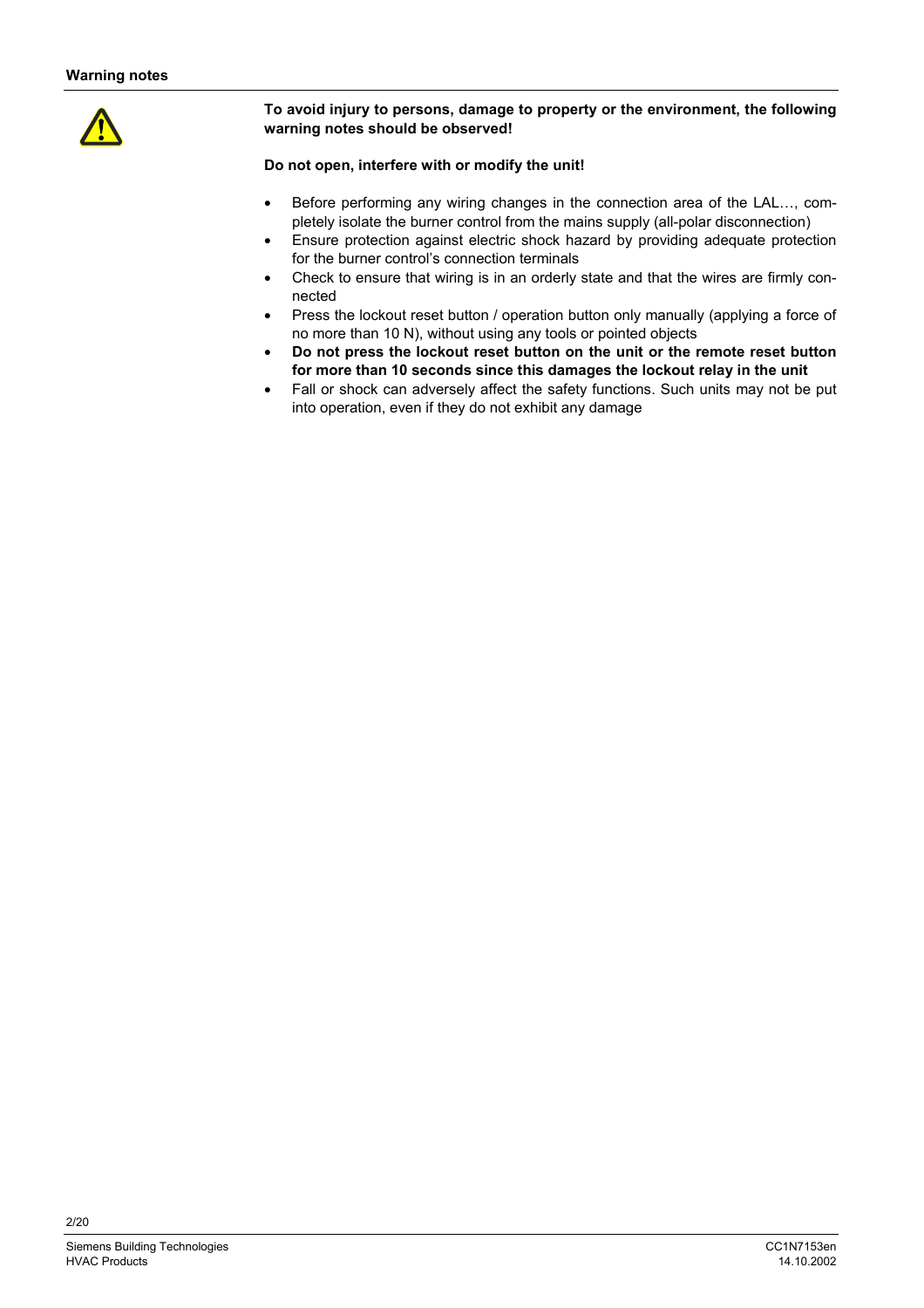

# **To avoid injury to persons, damage to property or the environment, the following warning notes should be observed!**

## **Do not open, interfere with or modify the unit!**

- Before performing any wiring changes in the connection area of the LAL…, completely isolate the burner control from the mains supply (all-polar disconnection)
- Ensure protection against electric shock hazard by providing adequate protection for the burner control's connection terminals
- Check to ensure that wiring is in an orderly state and that the wires are firmly connected
- Press the lockout reset button / operation button only manually (applying a force of no more than 10 N), without using any tools or pointed objects
- **Do not press the lockout reset button on the unit or the remote reset button for more than 10 seconds since this damages the lockout relay in the unit**
- Fall or shock can adversely affect the safety functions. Such units may not be put into operation, even if they do not exhibit any damage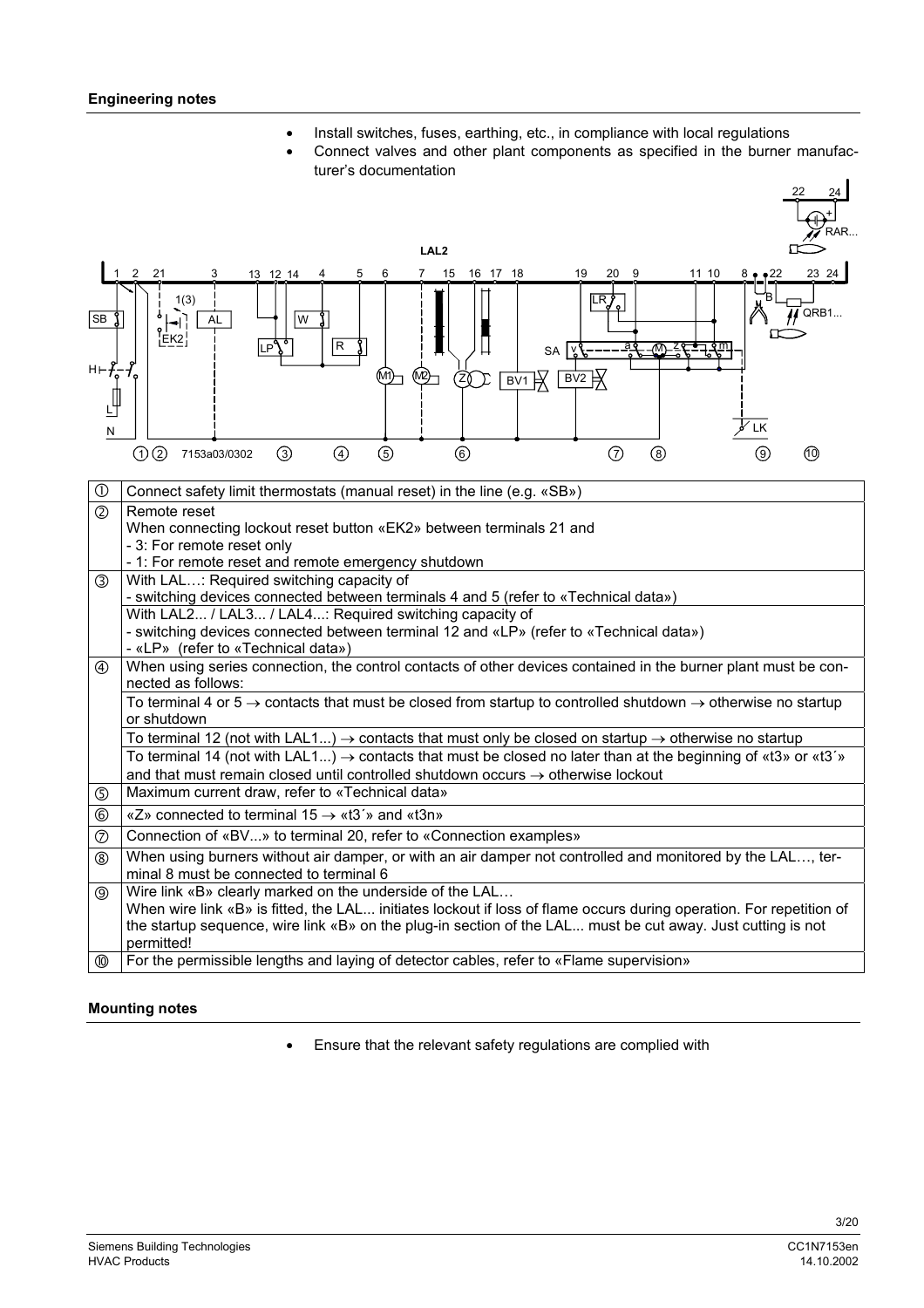## **Engineering notes**

- Install switches, fuses, earthing, etc., in compliance with local regulations
- Connect valves and other plant components as specified in the burner manufacturer's documentation



#### **Mounting notes**

Ensure that the relevant safety regulations are complied with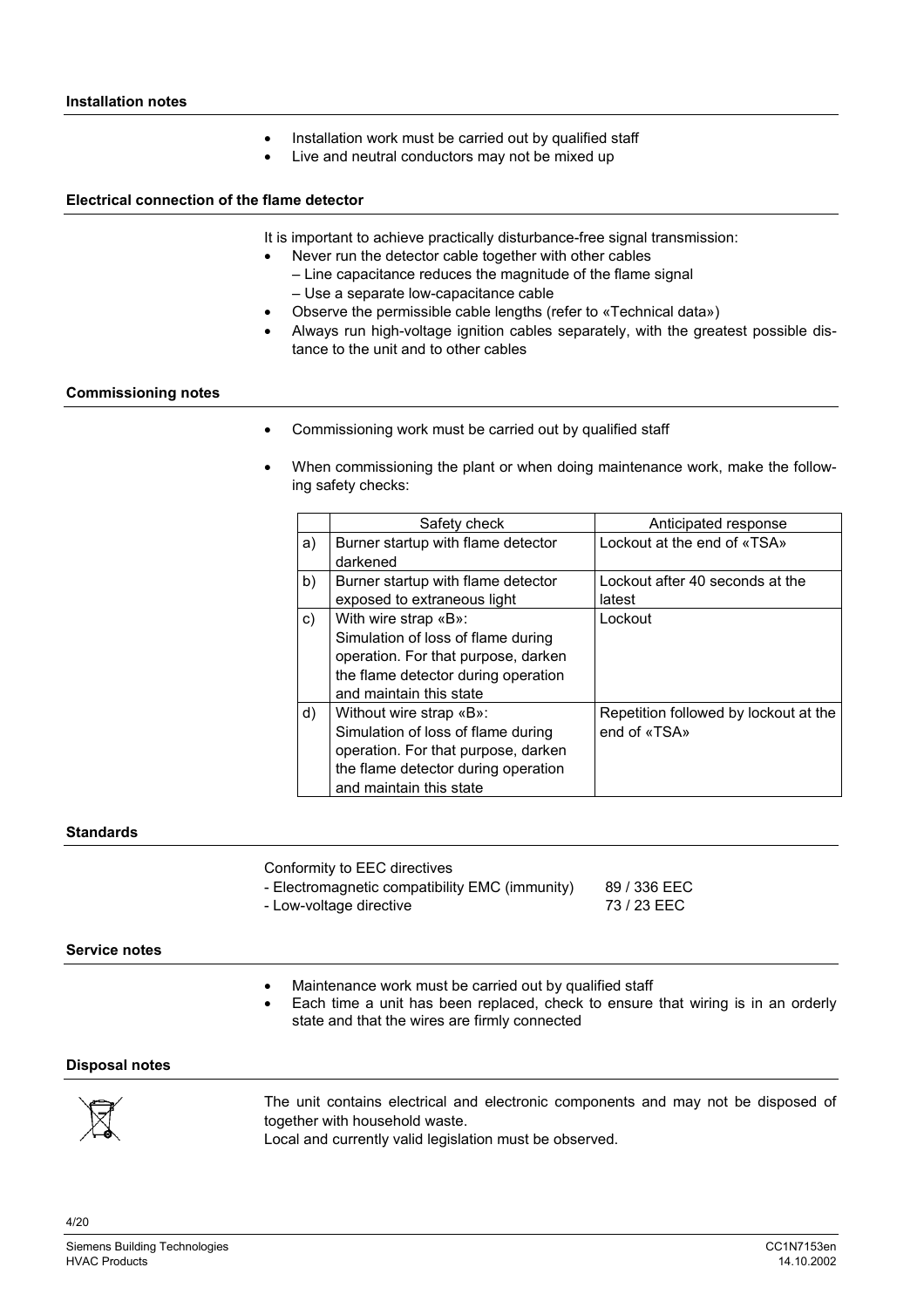- Installation work must be carried out by qualified staff
- Live and neutral conductors may not be mixed up

#### **Electrical connection of the flame detector**

It is important to achieve practically disturbance-free signal transmission:

- Never run the detector cable together with other cables
	- Line capacitance reduces the magnitude of the flame signal
	- Use a separate low-capacitance cable
- Observe the permissible cable lengths (refer to «Technical data»)
- Always run high-voltage ignition cables separately, with the greatest possible distance to the unit and to other cables

#### **Commissioning notes**

- Commissioning work must be carried out by qualified staff
- When commissioning the plant or when doing maintenance work, make the following safety checks:

|    | Safety check                                                                                                                                                           | Anticipated response                                  |
|----|------------------------------------------------------------------------------------------------------------------------------------------------------------------------|-------------------------------------------------------|
| a) | Burner startup with flame detector<br>darkened                                                                                                                         | Lockout at the end of «TSA»                           |
| b) | Burner startup with flame detector<br>exposed to extraneous light                                                                                                      | Lockout after 40 seconds at the<br>latest             |
| c) | With wire strap «B»:<br>Simulation of loss of flame during<br>operation. For that purpose, darken<br>the flame detector during operation<br>and maintain this state    | Lockout                                               |
| d) | Without wire strap «B»:<br>Simulation of loss of flame during<br>operation. For that purpose, darken<br>the flame detector during operation<br>and maintain this state | Repetition followed by lockout at the<br>end of «TSA» |

#### **Standards**

Conformity to EEC directives

- Electromagnetic compatibility EMC (immunity) 89 / 336 EEC
- Low-voltage directive 73 / 23 EEC

#### **Service notes**

- Maintenance work must be carried out by qualified staff
- Each time a unit has been replaced, check to ensure that wiring is in an orderly state and that the wires are firmly connected

## **Disposal notes**



The unit contains electrical and electronic components and may not be disposed of together with household waste.

Local and currently valid legislation must be observed.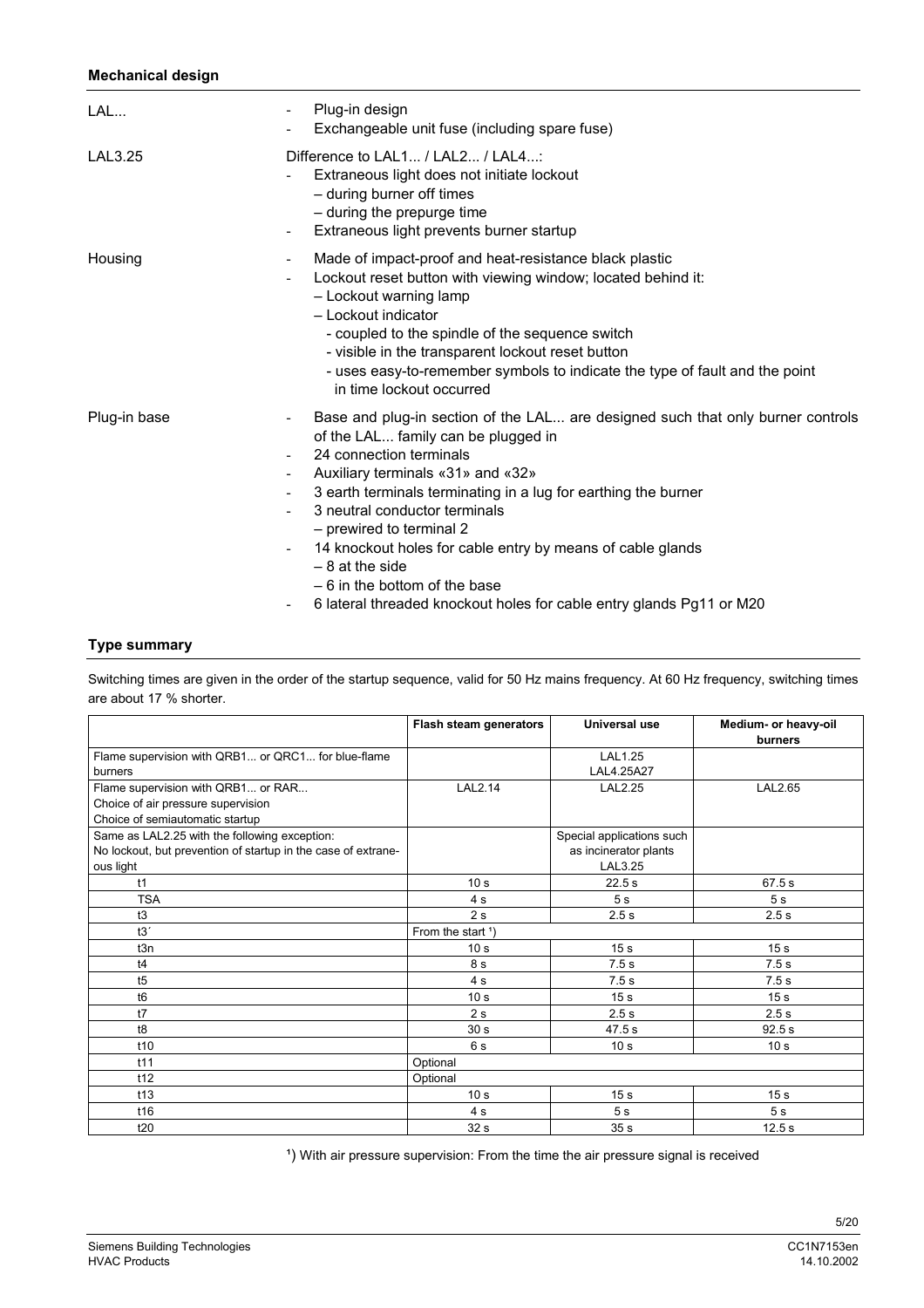## **Mechanical design**

| LAL          | Plug-in design<br>$\overline{\phantom{a}}$<br>Exchangeable unit fuse (including spare fuse)                                                                                                                                                                                                                                                                                                                                                                                                                            |
|--------------|------------------------------------------------------------------------------------------------------------------------------------------------------------------------------------------------------------------------------------------------------------------------------------------------------------------------------------------------------------------------------------------------------------------------------------------------------------------------------------------------------------------------|
| LAL3.25      | Difference to LAL1 / LAL2 / LAL4:<br>Extraneous light does not initiate lockout<br>- during burner off times<br>- during the prepurge time<br>Extraneous light prevents burner startup<br>۰                                                                                                                                                                                                                                                                                                                            |
| Housing      | Made of impact-proof and heat-resistance black plastic<br>۰.<br>Lockout reset button with viewing window; located behind it:<br>- Lockout warning lamp<br>- Lockout indicator<br>- coupled to the spindle of the sequence switch<br>- visible in the transparent lockout reset button<br>- uses easy-to-remember symbols to indicate the type of fault and the point<br>in time lockout occurred                                                                                                                       |
| Plug-in base | Base and plug-in section of the LAL are designed such that only burner controls<br>۰<br>of the LAL family can be plugged in<br>24 connection terminals<br>Auxiliary terminals «31» and «32»<br>3 earth terminals terminating in a lug for earthing the burner<br>3 neutral conductor terminals<br>- prewired to terminal 2<br>14 knockout holes for cable entry by means of cable glands<br>$-8$ at the side<br>$-6$ in the bottom of the base<br>6 lateral threaded knockout holes for cable entry glands Pg11 or M20 |

## **Type summary**

Switching times are given in the order of the startup sequence, valid for 50 Hz mains frequency. At 60 Hz frequency, switching times are about 17 % shorter.

|                                                               | Flash steam generators | Universal use             | Medium- or heavy-oil<br>burners |
|---------------------------------------------------------------|------------------------|---------------------------|---------------------------------|
| Flame supervision with QRB1 or QRC1 for blue-flame            |                        | LAL1.25                   |                                 |
| burners                                                       |                        | LAL4.25A27                |                                 |
| Flame supervision with QRB1 or RAR                            | LAL2.14                | <b>LAL2.25</b>            | LAL2.65                         |
| Choice of air pressure supervision                            |                        |                           |                                 |
| Choice of semiautomatic startup                               |                        |                           |                                 |
| Same as LAL2.25 with the following exception:                 |                        | Special applications such |                                 |
| No lockout, but prevention of startup in the case of extrane- |                        | as incinerator plants     |                                 |
| ous light                                                     |                        | LAL3.25                   |                                 |
| t1                                                            | 10 <sub>s</sub>        | 22.5 s                    | 67.5 s                          |
| <b>TSA</b>                                                    | 4s                     | 5s                        | 5 <sub>s</sub>                  |
| t3                                                            | 2s                     | 2.5s                      | 2.5s                            |
| t3'                                                           | From the start 1)      |                           |                                 |
| t3n                                                           | 10 <sub>s</sub>        | 15 <sub>s</sub>           | 15 <sub>s</sub>                 |
| t4                                                            | 8 s                    | 7.5s                      | 7.5s                            |
| t5                                                            | 4s                     | 7.5s                      | 7.5s                            |
| t <sub>6</sub>                                                | 10 <sub>s</sub>        | 15 <sub>s</sub>           | 15 <sub>s</sub>                 |
| t7                                                            | 2s                     | 2.5s                      | 2.5s                            |
| t8                                                            | 30 <sub>s</sub>        | 47.5 s                    | 92.5 s                          |
| t10                                                           | 6s                     | 10 <sub>s</sub>           | 10 <sub>s</sub>                 |
| t11                                                           | Optional               |                           |                                 |
| t12                                                           | Optional               |                           |                                 |
| t13                                                           | 10 <sub>s</sub>        | 15 <sub>s</sub>           | 15 <sub>s</sub>                 |
| t16                                                           | 4s                     | 5s                        | 5 <sub>s</sub>                  |
| t20                                                           | 32 <sub>s</sub>        | 35 <sub>s</sub>           | 12.5 <sub>s</sub>               |

<sup>1</sup>) With air pressure supervision: From the time the air pressure signal is received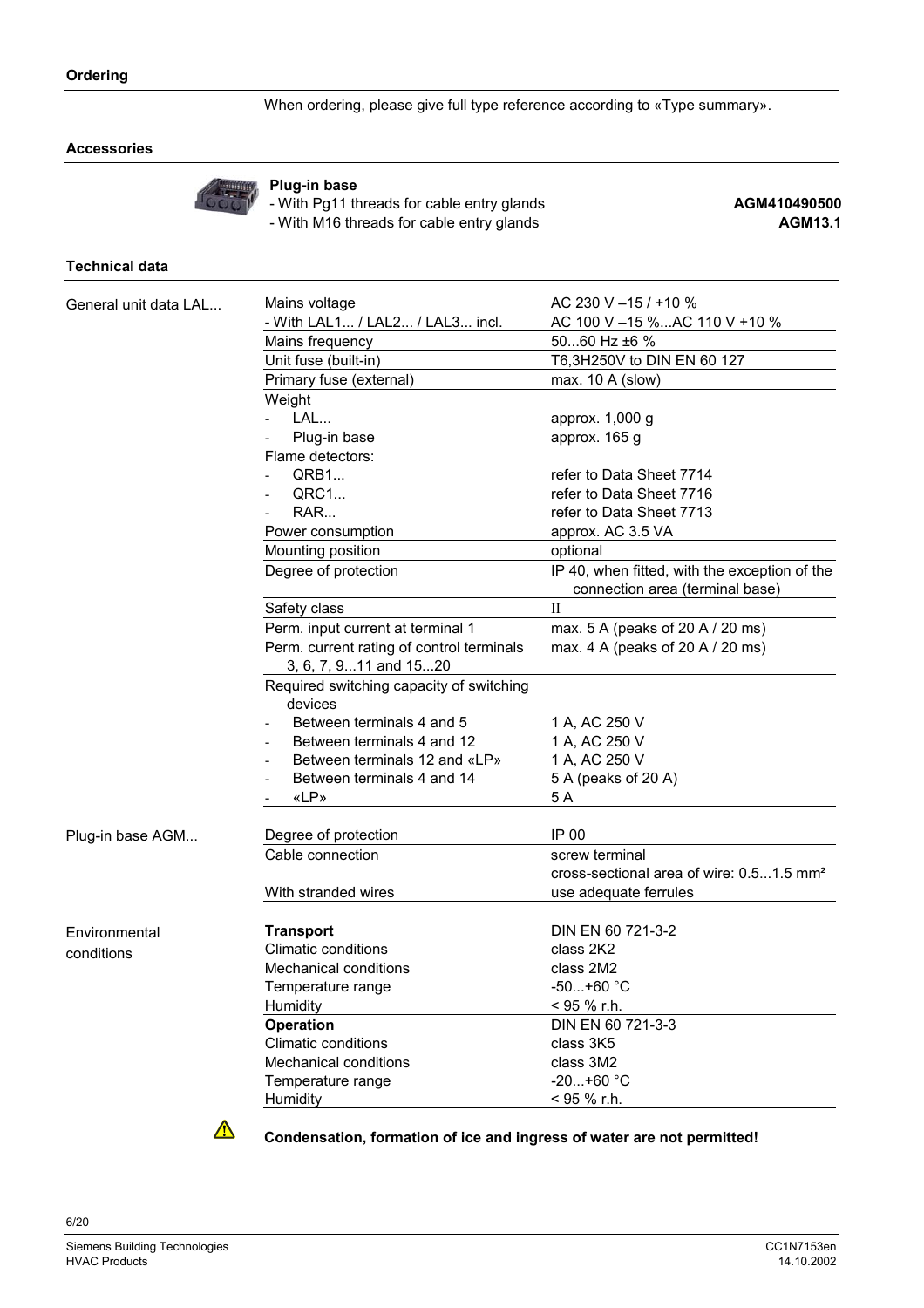When ordering, please give full type reference according to «Type summary».

## **Accessories**



**Plug-in base** - With Pg11 threads for cable entry glands **AGM410490500** - With M16 threads for cable entry glands **AGM13.1**

#### **Technical data**

| - With LAL1 / LAL2 / LAL3 incl.<br>AC 100 V -15 %AC 110 V +10 %<br>5060 Hz ±6 %<br>Mains frequency<br>Unit fuse (built-in)<br>T6,3H250V to DIN EN 60 127<br>Primary fuse (external)<br>max. $10 A$ (slow)<br>Weight<br>LAL<br>approx. 1,000 g<br>Plug-in base<br>approx. 165 g<br>Flame detectors:<br>QRB1<br>refer to Data Sheet 7714<br>$\qquad \qquad \blacksquare$<br>QRC1<br>refer to Data Sheet 7716<br>RAR<br>refer to Data Sheet 7713<br>Power consumption<br>approx. AC 3.5 VA<br>Mounting position<br>optional<br>IP 40, when fitted, with the exception of the<br>Degree of protection<br>connection area (terminal base)<br>$\mathbf{I}$<br>Safety class<br>Perm. input current at terminal 1<br>max. 5 A (peaks of 20 A / 20 ms)<br>Perm. current rating of control terminals<br>max. 4 A (peaks of 20 A / 20 ms)<br>3, 6, 7, 911 and 1520<br>Required switching capacity of switching<br>devices<br>Between terminals 4 and 5<br>1 A, AC 250 V<br>1 A, AC 250 V<br>Between terminals 4 and 12<br>1 A, AC 250 V<br>Between terminals 12 and «LP»<br>Between terminals 4 and 14<br>5 A (peaks of 20 A)<br>«LP»<br>5 A<br>IP 00<br>Degree of protection<br>Cable connection<br>screw terminal<br>cross-sectional area of wire: 0.51.5 mm <sup>2</sup><br>With stranded wires<br>use adequate ferrules<br><b>Transport</b><br>DIN EN 60 721-3-2<br>Environmental<br><b>Climatic conditions</b><br>class 2K2<br>conditions<br><b>Mechanical conditions</b><br>class 2M2<br>Temperature range<br>$-50+60 °C$<br>Humidity<br>$< 95 %$ r.h.<br><b>Operation</b><br>DIN EN 60 721-3-3<br><b>Climatic conditions</b><br>class 3K5<br><b>Mechanical conditions</b><br>class 3M2 | General unit data LAL | Mains voltage     | AC 230 V -15 / +10 % |
|------------------------------------------------------------------------------------------------------------------------------------------------------------------------------------------------------------------------------------------------------------------------------------------------------------------------------------------------------------------------------------------------------------------------------------------------------------------------------------------------------------------------------------------------------------------------------------------------------------------------------------------------------------------------------------------------------------------------------------------------------------------------------------------------------------------------------------------------------------------------------------------------------------------------------------------------------------------------------------------------------------------------------------------------------------------------------------------------------------------------------------------------------------------------------------------------------------------------------------------------------------------------------------------------------------------------------------------------------------------------------------------------------------------------------------------------------------------------------------------------------------------------------------------------------------------------------------------------------------------------------------------------------------------------------------|-----------------------|-------------------|----------------------|
|                                                                                                                                                                                                                                                                                                                                                                                                                                                                                                                                                                                                                                                                                                                                                                                                                                                                                                                                                                                                                                                                                                                                                                                                                                                                                                                                                                                                                                                                                                                                                                                                                                                                                    |                       |                   |                      |
|                                                                                                                                                                                                                                                                                                                                                                                                                                                                                                                                                                                                                                                                                                                                                                                                                                                                                                                                                                                                                                                                                                                                                                                                                                                                                                                                                                                                                                                                                                                                                                                                                                                                                    |                       |                   |                      |
|                                                                                                                                                                                                                                                                                                                                                                                                                                                                                                                                                                                                                                                                                                                                                                                                                                                                                                                                                                                                                                                                                                                                                                                                                                                                                                                                                                                                                                                                                                                                                                                                                                                                                    |                       |                   |                      |
|                                                                                                                                                                                                                                                                                                                                                                                                                                                                                                                                                                                                                                                                                                                                                                                                                                                                                                                                                                                                                                                                                                                                                                                                                                                                                                                                                                                                                                                                                                                                                                                                                                                                                    |                       |                   |                      |
|                                                                                                                                                                                                                                                                                                                                                                                                                                                                                                                                                                                                                                                                                                                                                                                                                                                                                                                                                                                                                                                                                                                                                                                                                                                                                                                                                                                                                                                                                                                                                                                                                                                                                    |                       |                   |                      |
|                                                                                                                                                                                                                                                                                                                                                                                                                                                                                                                                                                                                                                                                                                                                                                                                                                                                                                                                                                                                                                                                                                                                                                                                                                                                                                                                                                                                                                                                                                                                                                                                                                                                                    |                       |                   |                      |
|                                                                                                                                                                                                                                                                                                                                                                                                                                                                                                                                                                                                                                                                                                                                                                                                                                                                                                                                                                                                                                                                                                                                                                                                                                                                                                                                                                                                                                                                                                                                                                                                                                                                                    |                       |                   |                      |
|                                                                                                                                                                                                                                                                                                                                                                                                                                                                                                                                                                                                                                                                                                                                                                                                                                                                                                                                                                                                                                                                                                                                                                                                                                                                                                                                                                                                                                                                                                                                                                                                                                                                                    |                       |                   |                      |
|                                                                                                                                                                                                                                                                                                                                                                                                                                                                                                                                                                                                                                                                                                                                                                                                                                                                                                                                                                                                                                                                                                                                                                                                                                                                                                                                                                                                                                                                                                                                                                                                                                                                                    |                       |                   |                      |
|                                                                                                                                                                                                                                                                                                                                                                                                                                                                                                                                                                                                                                                                                                                                                                                                                                                                                                                                                                                                                                                                                                                                                                                                                                                                                                                                                                                                                                                                                                                                                                                                                                                                                    |                       |                   |                      |
|                                                                                                                                                                                                                                                                                                                                                                                                                                                                                                                                                                                                                                                                                                                                                                                                                                                                                                                                                                                                                                                                                                                                                                                                                                                                                                                                                                                                                                                                                                                                                                                                                                                                                    |                       |                   |                      |
|                                                                                                                                                                                                                                                                                                                                                                                                                                                                                                                                                                                                                                                                                                                                                                                                                                                                                                                                                                                                                                                                                                                                                                                                                                                                                                                                                                                                                                                                                                                                                                                                                                                                                    |                       |                   |                      |
|                                                                                                                                                                                                                                                                                                                                                                                                                                                                                                                                                                                                                                                                                                                                                                                                                                                                                                                                                                                                                                                                                                                                                                                                                                                                                                                                                                                                                                                                                                                                                                                                                                                                                    |                       |                   |                      |
|                                                                                                                                                                                                                                                                                                                                                                                                                                                                                                                                                                                                                                                                                                                                                                                                                                                                                                                                                                                                                                                                                                                                                                                                                                                                                                                                                                                                                                                                                                                                                                                                                                                                                    |                       |                   |                      |
|                                                                                                                                                                                                                                                                                                                                                                                                                                                                                                                                                                                                                                                                                                                                                                                                                                                                                                                                                                                                                                                                                                                                                                                                                                                                                                                                                                                                                                                                                                                                                                                                                                                                                    |                       |                   |                      |
|                                                                                                                                                                                                                                                                                                                                                                                                                                                                                                                                                                                                                                                                                                                                                                                                                                                                                                                                                                                                                                                                                                                                                                                                                                                                                                                                                                                                                                                                                                                                                                                                                                                                                    |                       |                   |                      |
|                                                                                                                                                                                                                                                                                                                                                                                                                                                                                                                                                                                                                                                                                                                                                                                                                                                                                                                                                                                                                                                                                                                                                                                                                                                                                                                                                                                                                                                                                                                                                                                                                                                                                    |                       |                   |                      |
|                                                                                                                                                                                                                                                                                                                                                                                                                                                                                                                                                                                                                                                                                                                                                                                                                                                                                                                                                                                                                                                                                                                                                                                                                                                                                                                                                                                                                                                                                                                                                                                                                                                                                    |                       |                   |                      |
|                                                                                                                                                                                                                                                                                                                                                                                                                                                                                                                                                                                                                                                                                                                                                                                                                                                                                                                                                                                                                                                                                                                                                                                                                                                                                                                                                                                                                                                                                                                                                                                                                                                                                    |                       |                   |                      |
|                                                                                                                                                                                                                                                                                                                                                                                                                                                                                                                                                                                                                                                                                                                                                                                                                                                                                                                                                                                                                                                                                                                                                                                                                                                                                                                                                                                                                                                                                                                                                                                                                                                                                    |                       |                   |                      |
|                                                                                                                                                                                                                                                                                                                                                                                                                                                                                                                                                                                                                                                                                                                                                                                                                                                                                                                                                                                                                                                                                                                                                                                                                                                                                                                                                                                                                                                                                                                                                                                                                                                                                    |                       |                   |                      |
|                                                                                                                                                                                                                                                                                                                                                                                                                                                                                                                                                                                                                                                                                                                                                                                                                                                                                                                                                                                                                                                                                                                                                                                                                                                                                                                                                                                                                                                                                                                                                                                                                                                                                    |                       |                   |                      |
|                                                                                                                                                                                                                                                                                                                                                                                                                                                                                                                                                                                                                                                                                                                                                                                                                                                                                                                                                                                                                                                                                                                                                                                                                                                                                                                                                                                                                                                                                                                                                                                                                                                                                    |                       |                   |                      |
|                                                                                                                                                                                                                                                                                                                                                                                                                                                                                                                                                                                                                                                                                                                                                                                                                                                                                                                                                                                                                                                                                                                                                                                                                                                                                                                                                                                                                                                                                                                                                                                                                                                                                    |                       |                   |                      |
|                                                                                                                                                                                                                                                                                                                                                                                                                                                                                                                                                                                                                                                                                                                                                                                                                                                                                                                                                                                                                                                                                                                                                                                                                                                                                                                                                                                                                                                                                                                                                                                                                                                                                    |                       |                   |                      |
|                                                                                                                                                                                                                                                                                                                                                                                                                                                                                                                                                                                                                                                                                                                                                                                                                                                                                                                                                                                                                                                                                                                                                                                                                                                                                                                                                                                                                                                                                                                                                                                                                                                                                    |                       |                   |                      |
|                                                                                                                                                                                                                                                                                                                                                                                                                                                                                                                                                                                                                                                                                                                                                                                                                                                                                                                                                                                                                                                                                                                                                                                                                                                                                                                                                                                                                                                                                                                                                                                                                                                                                    |                       |                   |                      |
|                                                                                                                                                                                                                                                                                                                                                                                                                                                                                                                                                                                                                                                                                                                                                                                                                                                                                                                                                                                                                                                                                                                                                                                                                                                                                                                                                                                                                                                                                                                                                                                                                                                                                    | Plug-in base AGM      |                   |                      |
|                                                                                                                                                                                                                                                                                                                                                                                                                                                                                                                                                                                                                                                                                                                                                                                                                                                                                                                                                                                                                                                                                                                                                                                                                                                                                                                                                                                                                                                                                                                                                                                                                                                                                    |                       |                   |                      |
|                                                                                                                                                                                                                                                                                                                                                                                                                                                                                                                                                                                                                                                                                                                                                                                                                                                                                                                                                                                                                                                                                                                                                                                                                                                                                                                                                                                                                                                                                                                                                                                                                                                                                    |                       |                   |                      |
|                                                                                                                                                                                                                                                                                                                                                                                                                                                                                                                                                                                                                                                                                                                                                                                                                                                                                                                                                                                                                                                                                                                                                                                                                                                                                                                                                                                                                                                                                                                                                                                                                                                                                    |                       |                   |                      |
|                                                                                                                                                                                                                                                                                                                                                                                                                                                                                                                                                                                                                                                                                                                                                                                                                                                                                                                                                                                                                                                                                                                                                                                                                                                                                                                                                                                                                                                                                                                                                                                                                                                                                    |                       |                   |                      |
|                                                                                                                                                                                                                                                                                                                                                                                                                                                                                                                                                                                                                                                                                                                                                                                                                                                                                                                                                                                                                                                                                                                                                                                                                                                                                                                                                                                                                                                                                                                                                                                                                                                                                    |                       |                   |                      |
|                                                                                                                                                                                                                                                                                                                                                                                                                                                                                                                                                                                                                                                                                                                                                                                                                                                                                                                                                                                                                                                                                                                                                                                                                                                                                                                                                                                                                                                                                                                                                                                                                                                                                    |                       |                   |                      |
|                                                                                                                                                                                                                                                                                                                                                                                                                                                                                                                                                                                                                                                                                                                                                                                                                                                                                                                                                                                                                                                                                                                                                                                                                                                                                                                                                                                                                                                                                                                                                                                                                                                                                    |                       |                   |                      |
|                                                                                                                                                                                                                                                                                                                                                                                                                                                                                                                                                                                                                                                                                                                                                                                                                                                                                                                                                                                                                                                                                                                                                                                                                                                                                                                                                                                                                                                                                                                                                                                                                                                                                    |                       |                   |                      |
|                                                                                                                                                                                                                                                                                                                                                                                                                                                                                                                                                                                                                                                                                                                                                                                                                                                                                                                                                                                                                                                                                                                                                                                                                                                                                                                                                                                                                                                                                                                                                                                                                                                                                    |                       |                   |                      |
|                                                                                                                                                                                                                                                                                                                                                                                                                                                                                                                                                                                                                                                                                                                                                                                                                                                                                                                                                                                                                                                                                                                                                                                                                                                                                                                                                                                                                                                                                                                                                                                                                                                                                    |                       |                   |                      |
|                                                                                                                                                                                                                                                                                                                                                                                                                                                                                                                                                                                                                                                                                                                                                                                                                                                                                                                                                                                                                                                                                                                                                                                                                                                                                                                                                                                                                                                                                                                                                                                                                                                                                    |                       |                   |                      |
|                                                                                                                                                                                                                                                                                                                                                                                                                                                                                                                                                                                                                                                                                                                                                                                                                                                                                                                                                                                                                                                                                                                                                                                                                                                                                                                                                                                                                                                                                                                                                                                                                                                                                    |                       | Temperature range | $-20+60$ °C          |
| Humidity<br>< 95 % r.h.                                                                                                                                                                                                                                                                                                                                                                                                                                                                                                                                                                                                                                                                                                                                                                                                                                                                                                                                                                                                                                                                                                                                                                                                                                                                                                                                                                                                                                                                                                                                                                                                                                                            |                       |                   |                      |



**Condensation, formation of ice and ingress of water are not permitted!**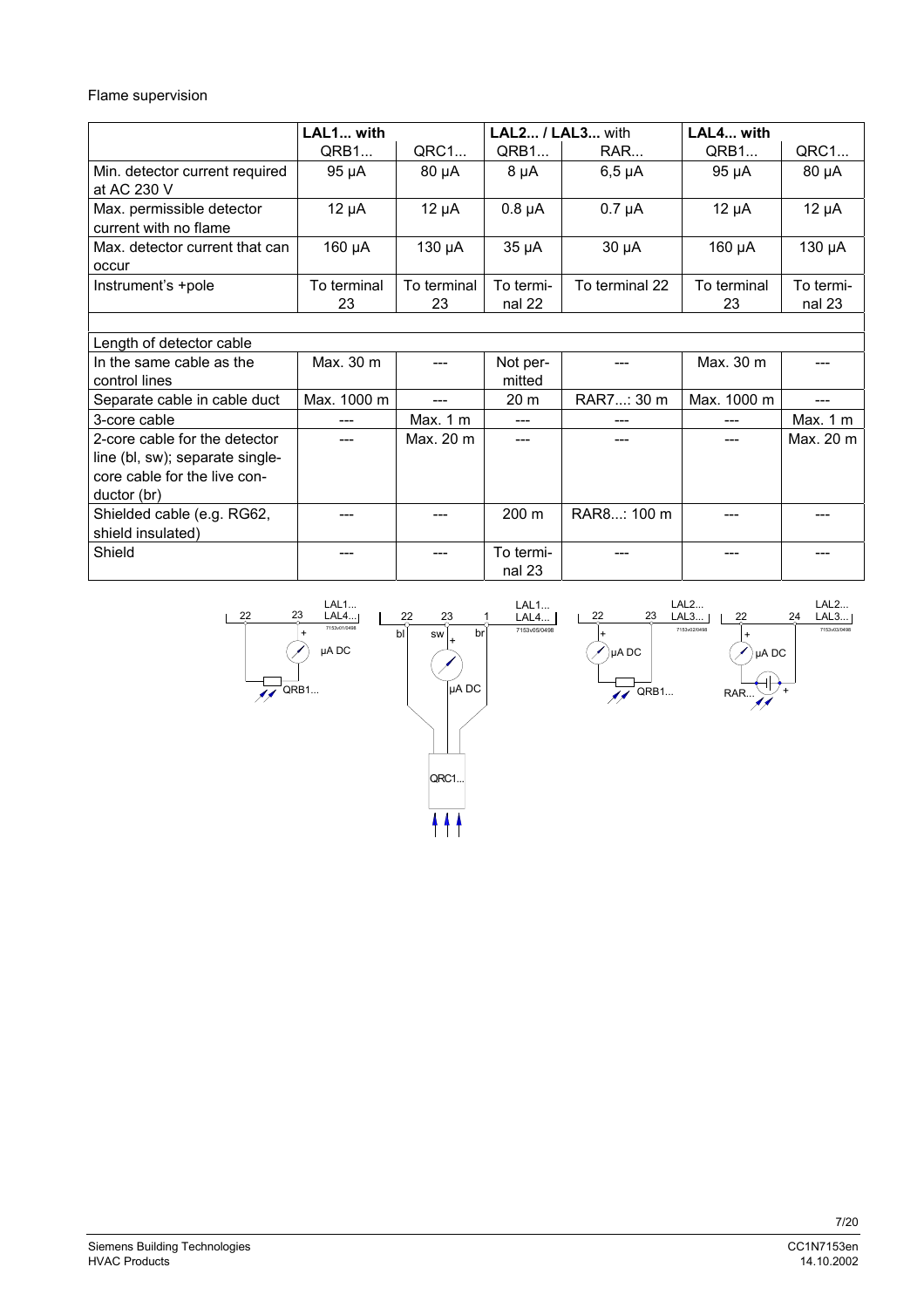# Flame supervision

|                                 | LAL1 with   |             | <b>LAL2 / LAL3 with</b> |                | LAL4 with   |            |  |
|---------------------------------|-------------|-------------|-------------------------|----------------|-------------|------------|--|
|                                 | QRB1        | QRC1        | QRB1                    | RAR            | QRB1        | QRC1       |  |
| Min. detector current required  | 95 µA       | $80 \mu A$  | $8 \mu A$               | $6,5 \mu A$    | $95 \mu A$  | $80 \mu A$ |  |
| at AC 230 V                     |             |             |                         |                |             |            |  |
| Max. permissible detector       | $12 \mu A$  | $12 \mu A$  | $0.8 \mu A$             | $0.7 \mu A$    | $12 \mu A$  | $12 \mu A$ |  |
| current with no flame           |             |             |                         |                |             |            |  |
| Max, detector current that can  | 160 µA      | 130 µA      | $35 \mu A$              | $30 \mu A$     | 160 µA      | 130 µA     |  |
| occur                           |             |             |                         |                |             |            |  |
| Instrument's +pole              | To terminal | To terminal | To termi-               | To terminal 22 | To terminal | To termi-  |  |
|                                 | 23          | 23          | nal 22                  |                | 23          | nal 23     |  |
|                                 |             |             |                         |                |             |            |  |
| Length of detector cable        |             |             |                         |                |             |            |  |
| In the same cable as the        | Max. 30 m   |             | Not per-                |                | Max. 30 m   |            |  |
| control lines                   |             |             | mitted                  |                |             |            |  |
| Separate cable in cable duct    | Max. 1000 m |             | 20 <sub>m</sub>         | RAR7: 30 m     | Max. 1000 m |            |  |
| 3-core cable                    |             | Max. 1 m    |                         |                |             | Max. 1 m   |  |
| 2-core cable for the detector   |             | Max. 20 m   |                         |                |             | Max. 20 m  |  |
| line (bl, sw); separate single- |             |             |                         |                |             |            |  |
| core cable for the live con-    |             |             |                         |                |             |            |  |
| ductor (br)                     |             |             |                         |                |             |            |  |
| Shielded cable (e.g. RG62,      |             |             | 200 m                   | RAR8: 100 m    |             |            |  |
| shield insulated)               |             |             |                         |                |             |            |  |
| Shield                          |             |             | To termi-               |                |             |            |  |
|                                 |             |             | nal 23                  |                |             |            |  |

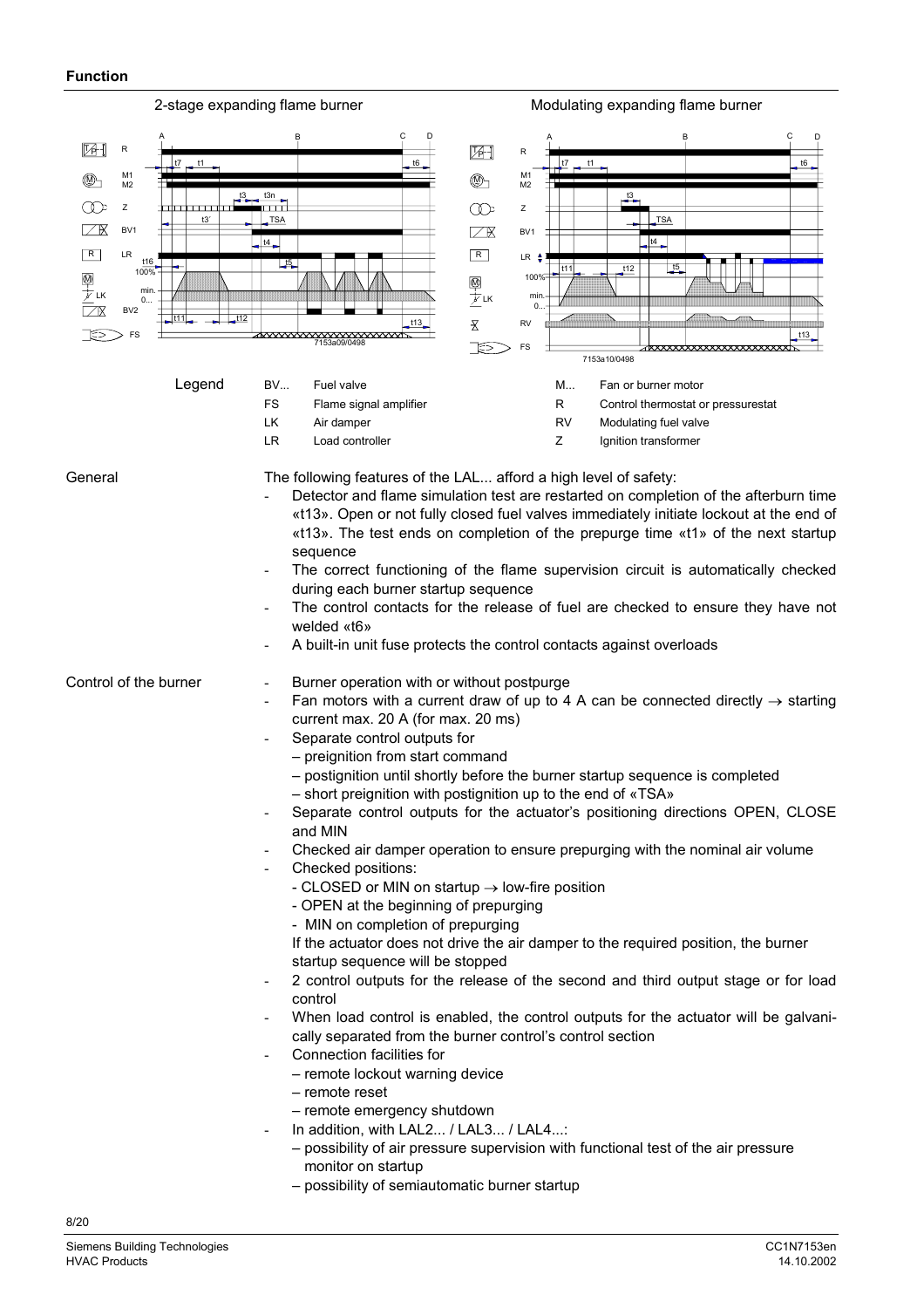#### **Function**

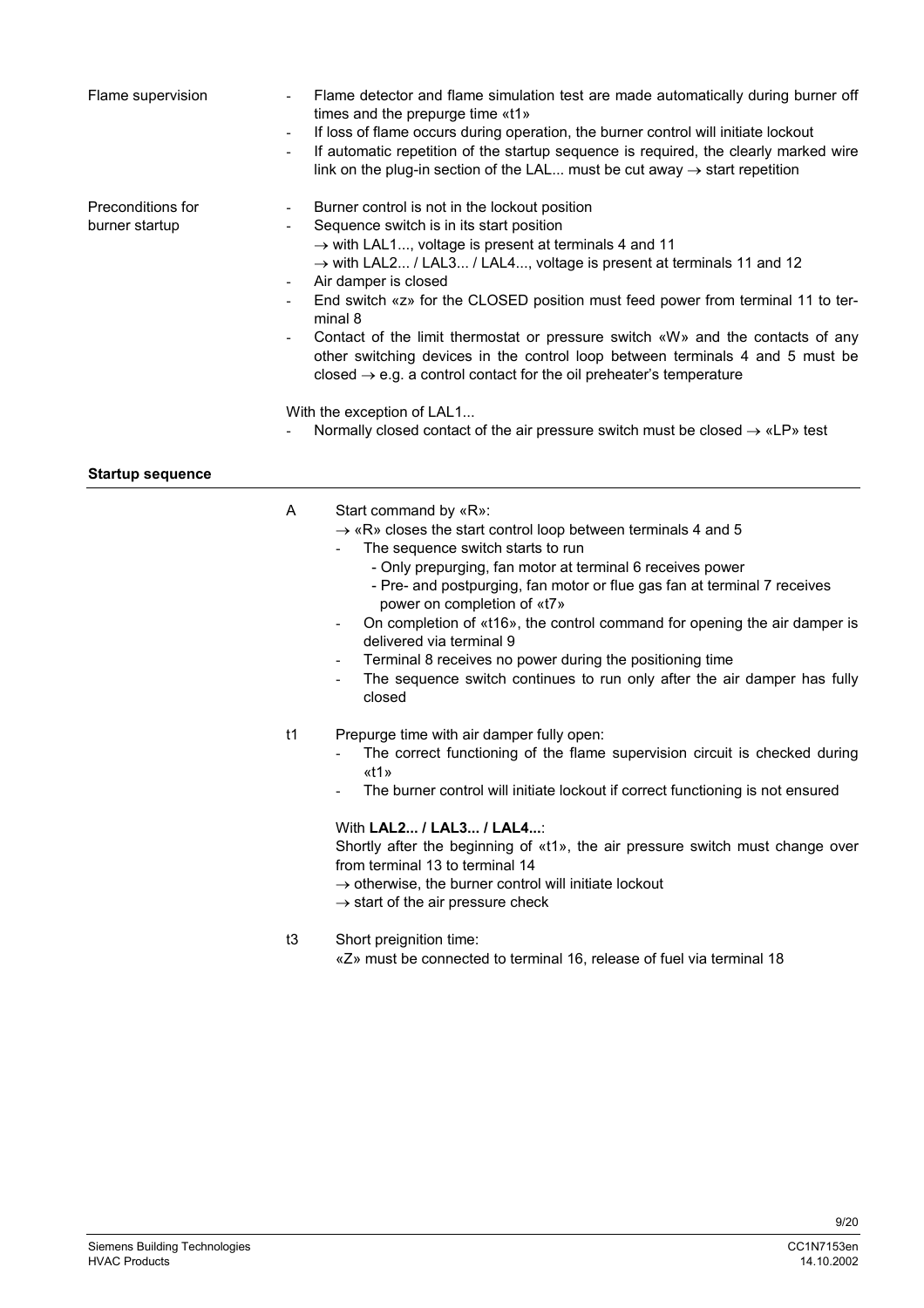| Flame supervision                   | $\overline{\phantom{a}}$<br>$\overline{\phantom{a}}$                             | Flame detector and flame simulation test are made automatically during burner off<br>times and the prepurge time «t1»<br>If loss of flame occurs during operation, the burner control will initiate lockout<br>If automatic repetition of the startup sequence is required, the clearly marked wire<br>link on the plug-in section of the LAL must be cut away $\rightarrow$ start repetition                                                                                                                                                                                                                                                                |  |  |  |
|-------------------------------------|----------------------------------------------------------------------------------|--------------------------------------------------------------------------------------------------------------------------------------------------------------------------------------------------------------------------------------------------------------------------------------------------------------------------------------------------------------------------------------------------------------------------------------------------------------------------------------------------------------------------------------------------------------------------------------------------------------------------------------------------------------|--|--|--|
| Preconditions for<br>burner startup | $\overline{\phantom{a}}$<br>$\overline{\phantom{a}}$<br>$\overline{\phantom{a}}$ | Burner control is not in the lockout position<br>Sequence switch is in its start position<br>$\rightarrow$ with LAL1, voltage is present at terminals 4 and 11<br>$\rightarrow$ with LAL2 / LAL3 / LAL4, voltage is present at terminals 11 and 12<br>Air damper is closed<br>End switch «z» for the CLOSED position must feed power from terminal 11 to ter-<br>minal 8<br>Contact of the limit thermostat or pressure switch «W» and the contacts of any<br>other switching devices in the control loop between terminals 4 and 5 must be<br>closed $\rightarrow$ e.g. a control contact for the oil preheater's temperature<br>With the exception of LAL1 |  |  |  |
|                                     |                                                                                  | Normally closed contact of the air pressure switch must be closed $\rightarrow$ «LP» test                                                                                                                                                                                                                                                                                                                                                                                                                                                                                                                                                                    |  |  |  |
| <b>Startup sequence</b>             |                                                                                  |                                                                                                                                                                                                                                                                                                                                                                                                                                                                                                                                                                                                                                                              |  |  |  |
|                                     | A                                                                                | Start command by «R»:<br>$\rightarrow$ «R» closes the start control loop between terminals 4 and 5<br>The sequence switch starts to run<br>- Only prepurging, fan motor at terminal 6 receives power<br>- Pre- and postpurging, fan motor or flue gas fan at terminal 7 receives<br>power on completion of «t7»<br>On completion of «t16», the control command for opening the air damper is<br>delivered via terminal 9<br>Terminal 8 receives no power during the positioning time<br>The sequence switch continues to run only after the air damper has fully<br>closed                                                                                   |  |  |  |
|                                     | t1                                                                               | Prepurge time with air damper fully open:<br>The correct functioning of the flame supervision circuit is checked during<br>$u$ t1w<br>The burner control will initiate lockout if correct functioning is not ensured<br>With LAL2 / LAL3 / LAL4:<br>Shortly after the beginning of «t1», the air pressure switch must change over<br>from terminal 13 to terminal 14<br>$\rightarrow$ otherwise, the burner control will initiate lockout<br>$\rightarrow$ start of the air pressure check                                                                                                                                                                   |  |  |  |
|                                     | t3                                                                               | Short preignition time:<br>«Z» must be connected to terminal 16, release of fuel via terminal 18                                                                                                                                                                                                                                                                                                                                                                                                                                                                                                                                                             |  |  |  |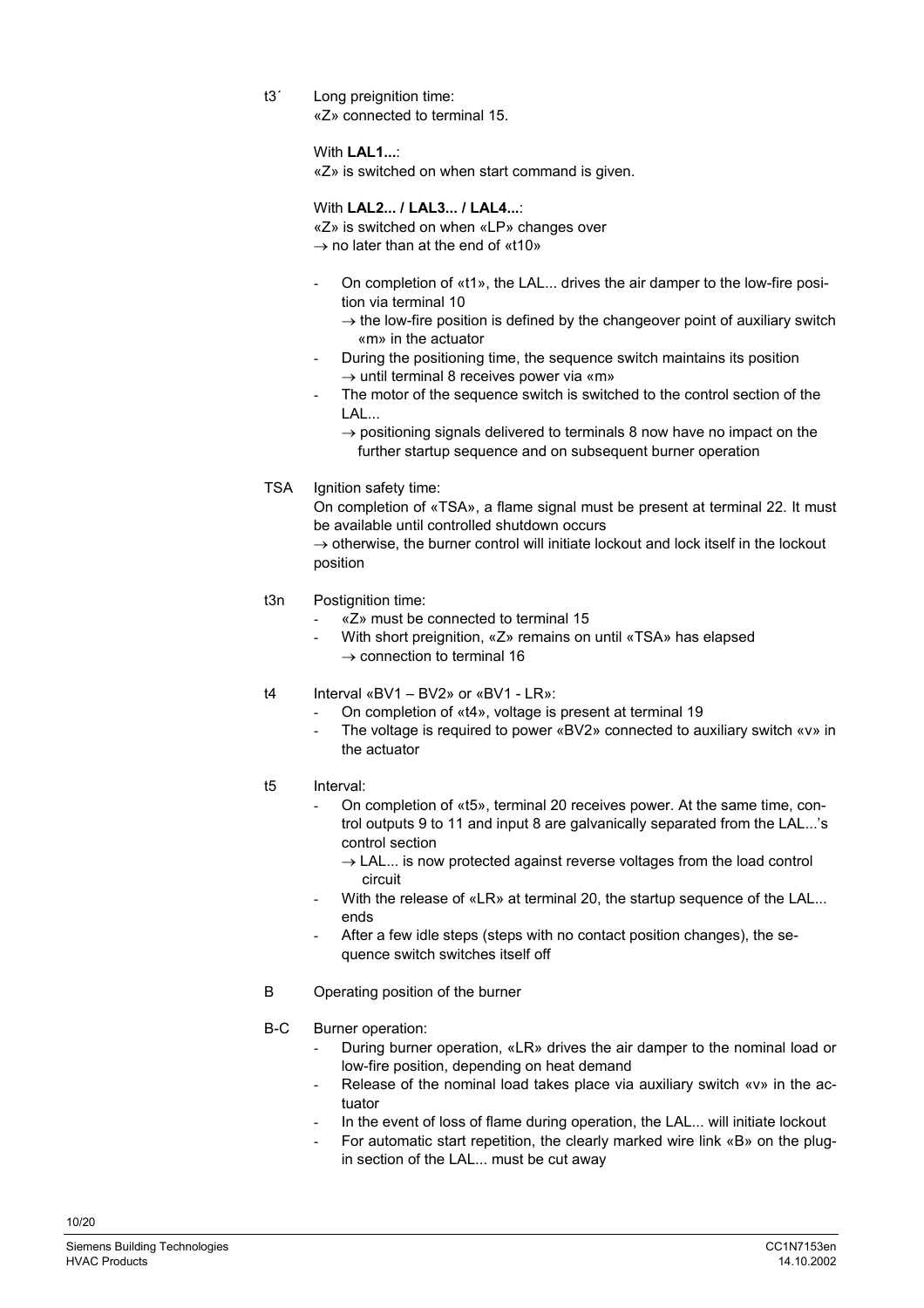t3´ Long preignition time: «Z» connected to terminal 15.

With **LAL1...**:

«Z» is switched on when start command is given.

With **LAL2... / LAL3... / LAL4...**:

«Z» is switched on when «LP» changes over  $\rightarrow$  no later than at the end of «t10»

- On completion of «t1», the LAL... drives the air damper to the low-fire position via terminal 10
	- $\rightarrow$  the low-fire position is defined by the changeover point of auxiliary switch «m» in the actuator
- During the positioning time, the sequence switch maintains its position  $\rightarrow$  until terminal 8 receives power via «m»
- The motor of the sequence switch is switched to the control section of the  $IAL$ ...
	- $\rightarrow$  positioning signals delivered to terminals 8 now have no impact on the further startup sequence and on subsequent burner operation
- TSA lanition safety time:

On completion of «TSA», a flame signal must be present at terminal 22. It must be available until controlled shutdown occurs

 $\rightarrow$  otherwise, the burner control will initiate lockout and lock itself in the lockout position

- t3n Postignition time:
	- «Z» must be connected to terminal 15
	- With short preignition, «Z» remains on until «TSA» has elapsed  $\rightarrow$  connection to terminal 16
- t4 Interval «BV1 BV2» or «BV1 LR»:
	- On completion of «t4», voltage is present at terminal 19
	- The voltage is required to power «BV2» connected to auxiliary switch «v» in the actuator
- t5 Interval:
	- On completion of «t5», terminal 20 receives power. At the same time, control outputs 9 to 11 and input 8 are galvanically separated from the LAL...'s control section
		- $\rightarrow$  LAL... is now protected against reverse voltages from the load control circuit
	- With the release of «LR» at terminal 20, the startup sequence of the LAL... ends
	- After a few idle steps (steps with no contact position changes), the sequence switch switches itself off
- B Operating position of the burner

## B-C Burner operation:

- During burner operation, «LR» drives the air damper to the nominal load or low-fire position, depending on heat demand
- Release of the nominal load takes place via auxiliary switch «v» in the actuator
- In the event of loss of flame during operation, the LAL... will initiate lockout
- For automatic start repetition, the clearly marked wire link «B» on the plugin section of the LAL... must be cut away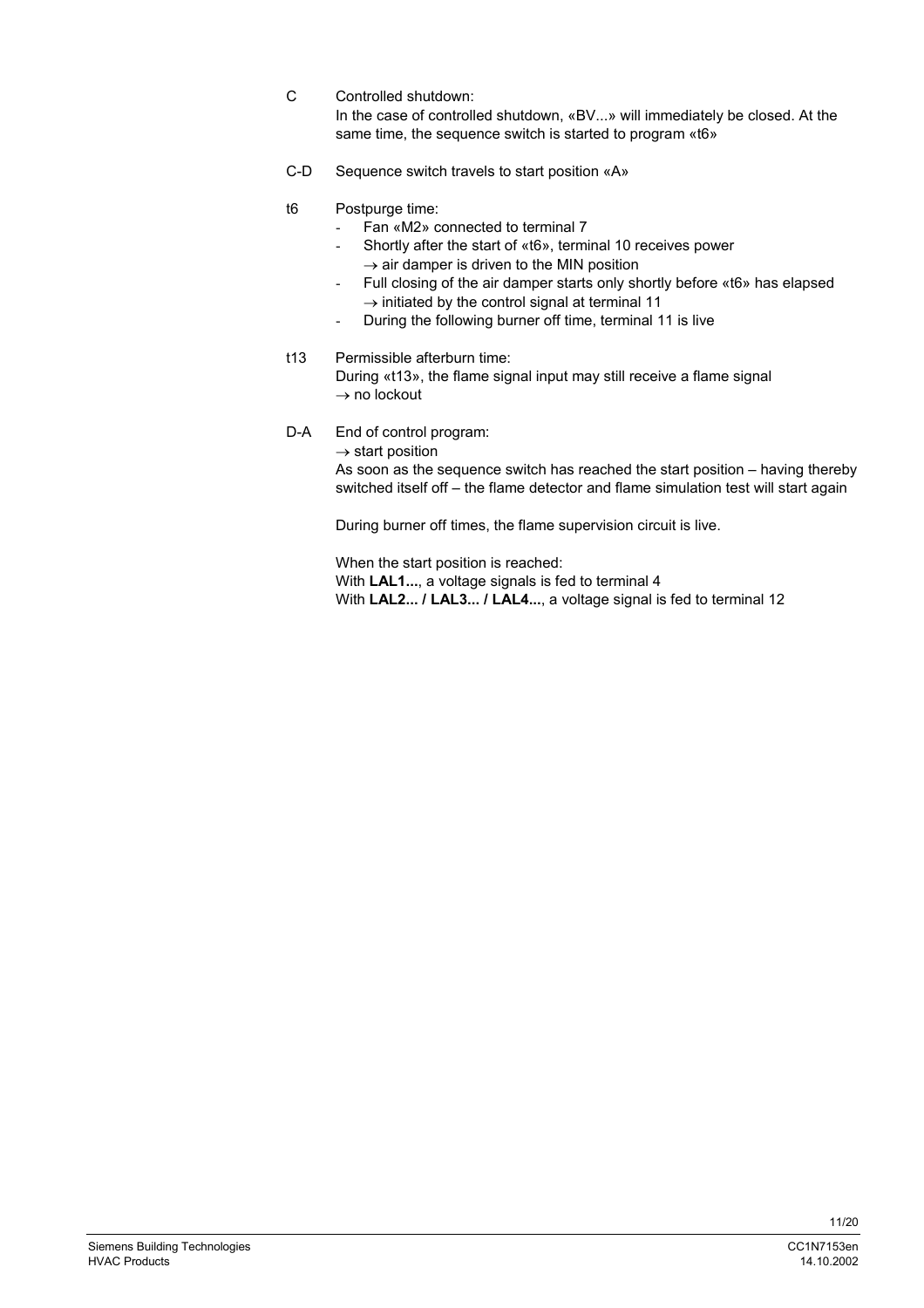- C Controlled shutdown: In the case of controlled shutdown, «BV...» will immediately be closed. At the same time, the sequence switch is started to program «t6»
- C-D Sequence switch travels to start position «A»
- t6 Postpurge time:
	- Fan «M2» connected to terminal 7
	- Shortly after the start of «t6», terminal 10 receives power  $\rightarrow$  air damper is driven to the MIN position
	- Full closing of the air damper starts only shortly before «t6» has elapsed  $\rightarrow$  initiated by the control signal at terminal 11
	- During the following burner off time, terminal 11 is live

# t13 Permissible afterburn time:

During «t13», the flame signal input may still receive a flame signal  $\rightarrow$  no lockout

D-A End of control program:

 $\rightarrow$  start position

As soon as the sequence switch has reached the start position – having thereby switched itself off – the flame detector and flame simulation test will start again

During burner off times, the flame supervision circuit is live.

When the start position is reached: With **LAL1...**, a voltage signals is fed to terminal 4 With LAL2... / LAL3... / LAL4..., a voltage signal is fed to terminal 12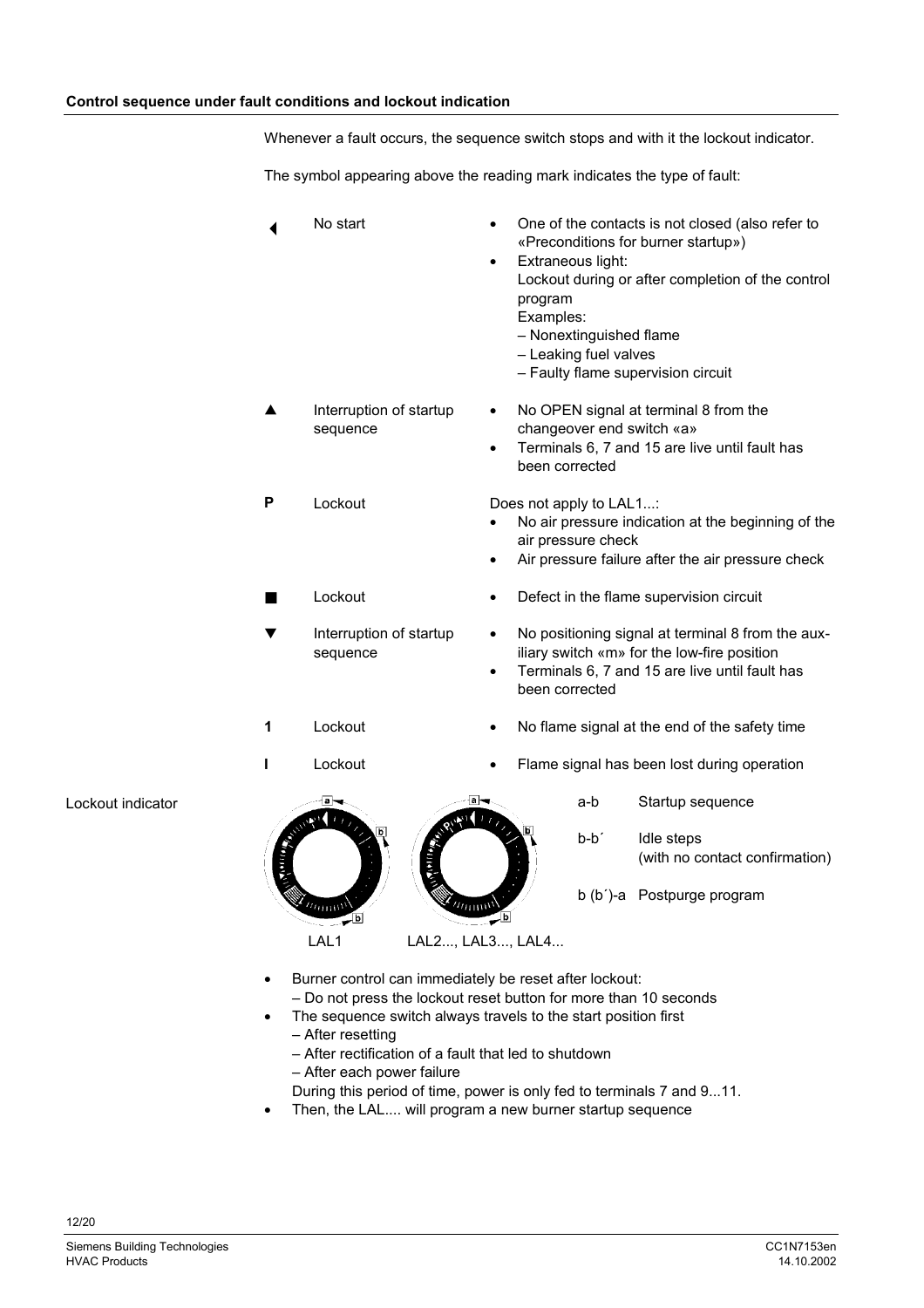Whenever a fault occurs, the sequence switch stops and with it the lockout indicator.

The symbol appearing above the reading mark indicates the type of fault:

|                | No start                                                                        | $\bullet$ | program<br>Examples:    | Extraneous light:<br>- Nonextinguished flame<br>- Leaking fuel valves | One of the contacts is not closed (also refer to<br>«Preconditions for burner startup»)<br>Lockout during or after completion of the control<br>- Faulty flame supervision circuit |
|----------------|---------------------------------------------------------------------------------|-----------|-------------------------|-----------------------------------------------------------------------|------------------------------------------------------------------------------------------------------------------------------------------------------------------------------------|
|                | Interruption of startup<br>sequence                                             |           | been corrected          |                                                                       | No OPEN signal at terminal 8 from the<br>changeover end switch «a»<br>Terminals 6, 7 and 15 are live until fault has                                                               |
| P              | Lockout                                                                         | ٠         | Does not apply to LAL1: | air pressure check                                                    | No air pressure indication at the beginning of the<br>Air pressure failure after the air pressure check                                                                            |
| $\blacksquare$ | Lockout                                                                         | $\bullet$ |                         |                                                                       | Defect in the flame supervision circuit                                                                                                                                            |
|                | Interruption of startup<br>sequence                                             | $\bullet$ | been corrected          |                                                                       | No positioning signal at terminal 8 from the aux-<br>iliary switch «m» for the low-fire position<br>Terminals 6, 7 and 15 are live until fault has                                 |
| 1              | Lockout                                                                         |           |                         |                                                                       | No flame signal at the end of the safety time                                                                                                                                      |
| L              | Lockout                                                                         |           |                         |                                                                       | Flame signal has been lost during operation                                                                                                                                        |
|                |                                                                                 |           |                         | a-b                                                                   | Startup sequence                                                                                                                                                                   |
|                | ر کو زارا وی<br>771111<br>$^{\prime\prime\prime\prime\prime\prime\prime\prime}$ |           |                         | b-b'                                                                  | Idle steps<br>(with no contact confirmation)<br>b (b')-a Postpurge program                                                                                                         |
|                | LAL <sub>1</sub><br>LAL2, LAL3, LAL4                                            |           |                         |                                                                       |                                                                                                                                                                                    |

- Burner control can immediately be reset after lockout:
- Do not press the lockout reset button for more than 10 seconds
- The sequence switch always travels to the start position first – After resetting
	- After rectification of a fault that led to shutdown
	- After each power failure
- During this period of time, power is only fed to terminals 7 and 9...11.
- Then, the LAL.... will program a new burner startup sequence

Lockout indicator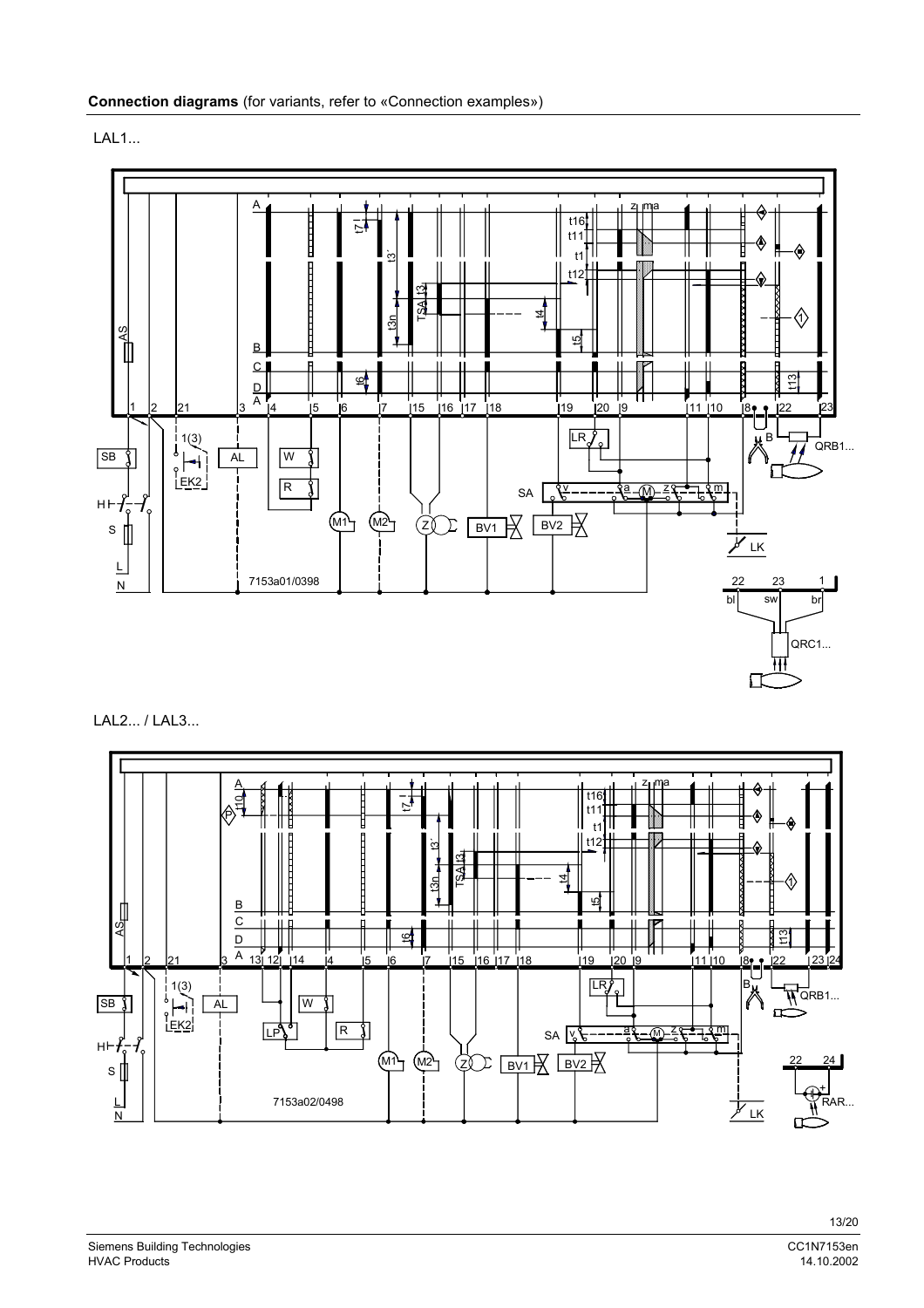LAL1...



LAL2... / LAL3...

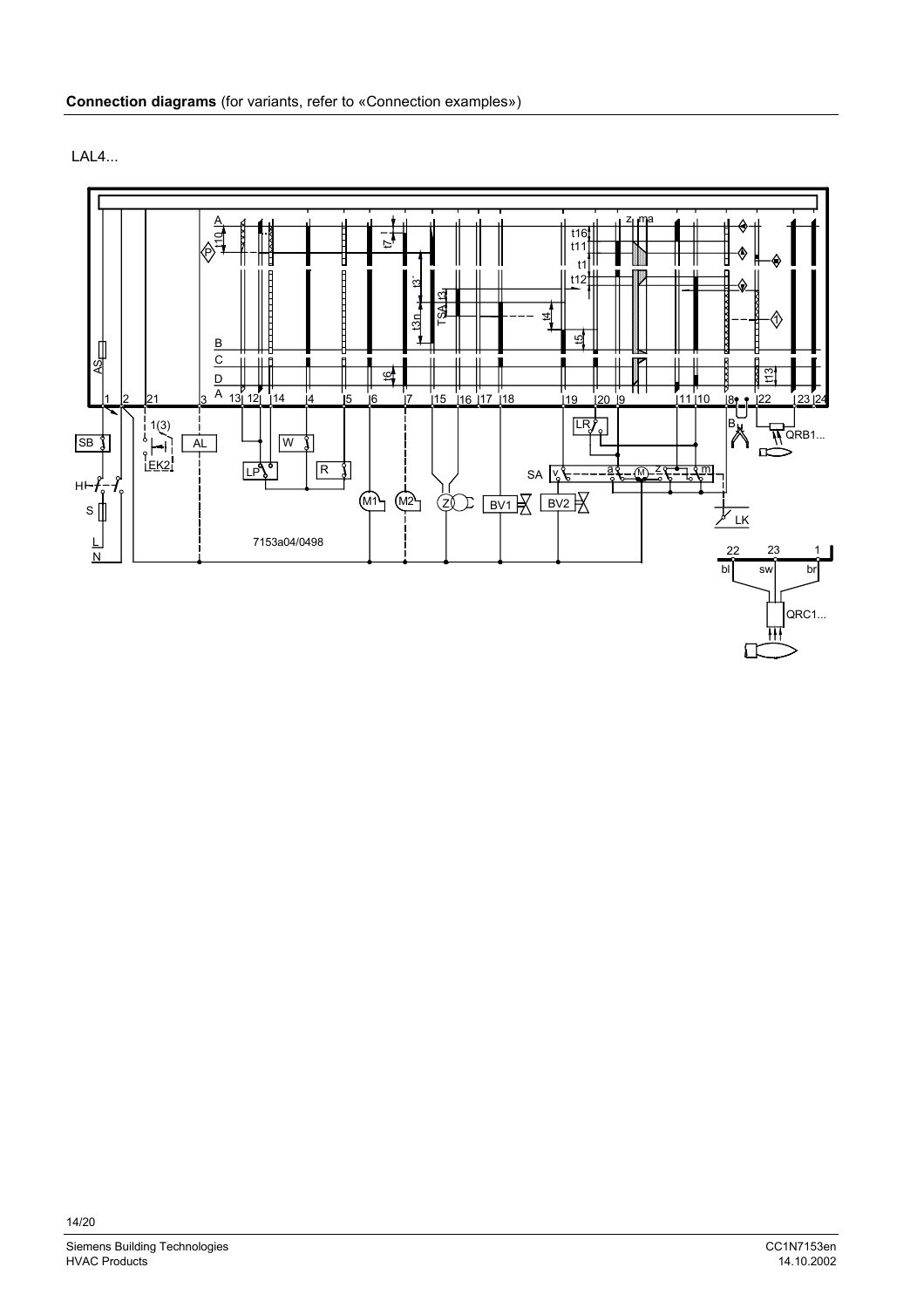

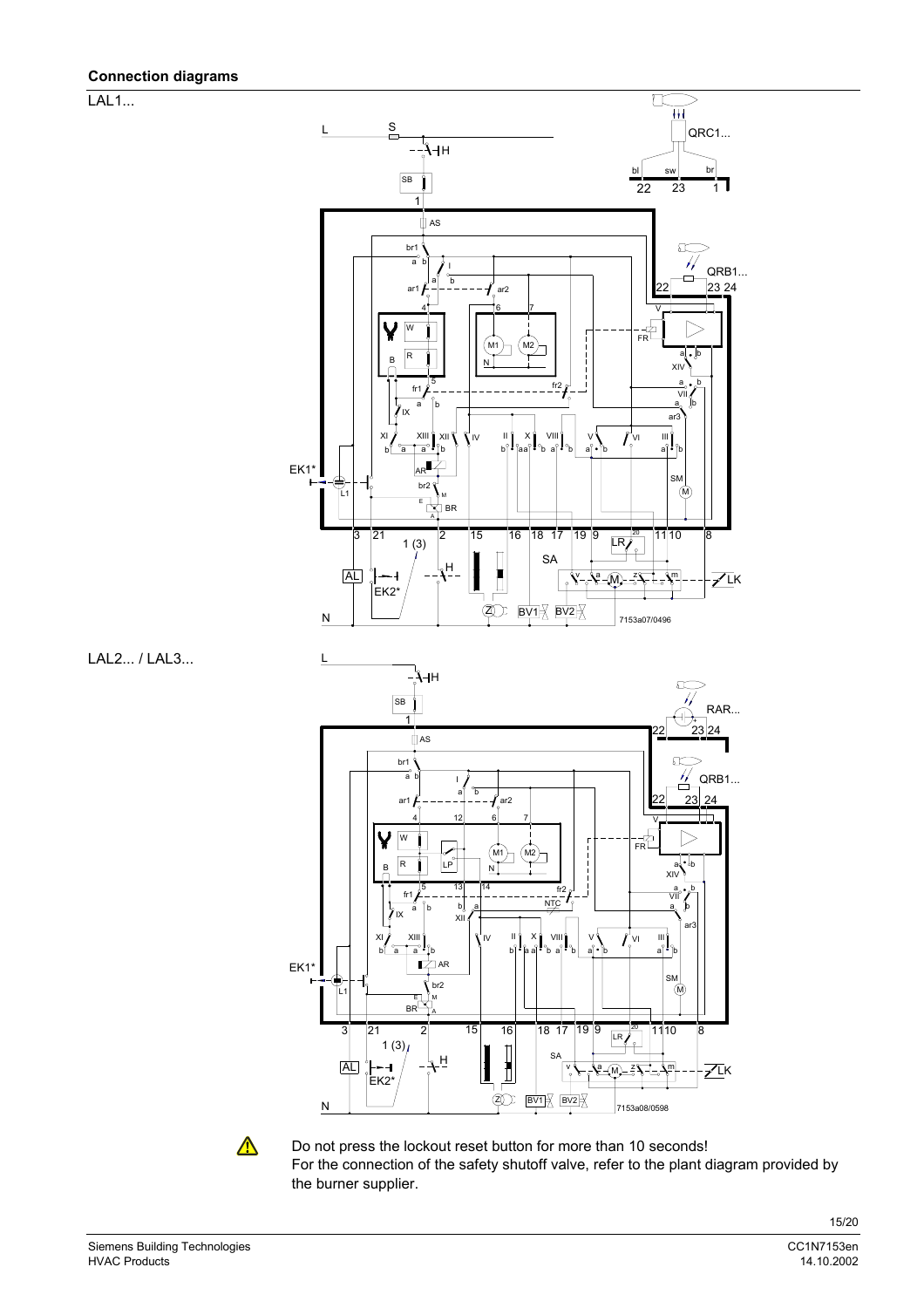LAL2... / LAL3...

LAL1...





Do not press the lockout reset button for more than 10 seconds! For the connection of the safety shutoff valve, refer to the plant diagram provided by the burner supplier.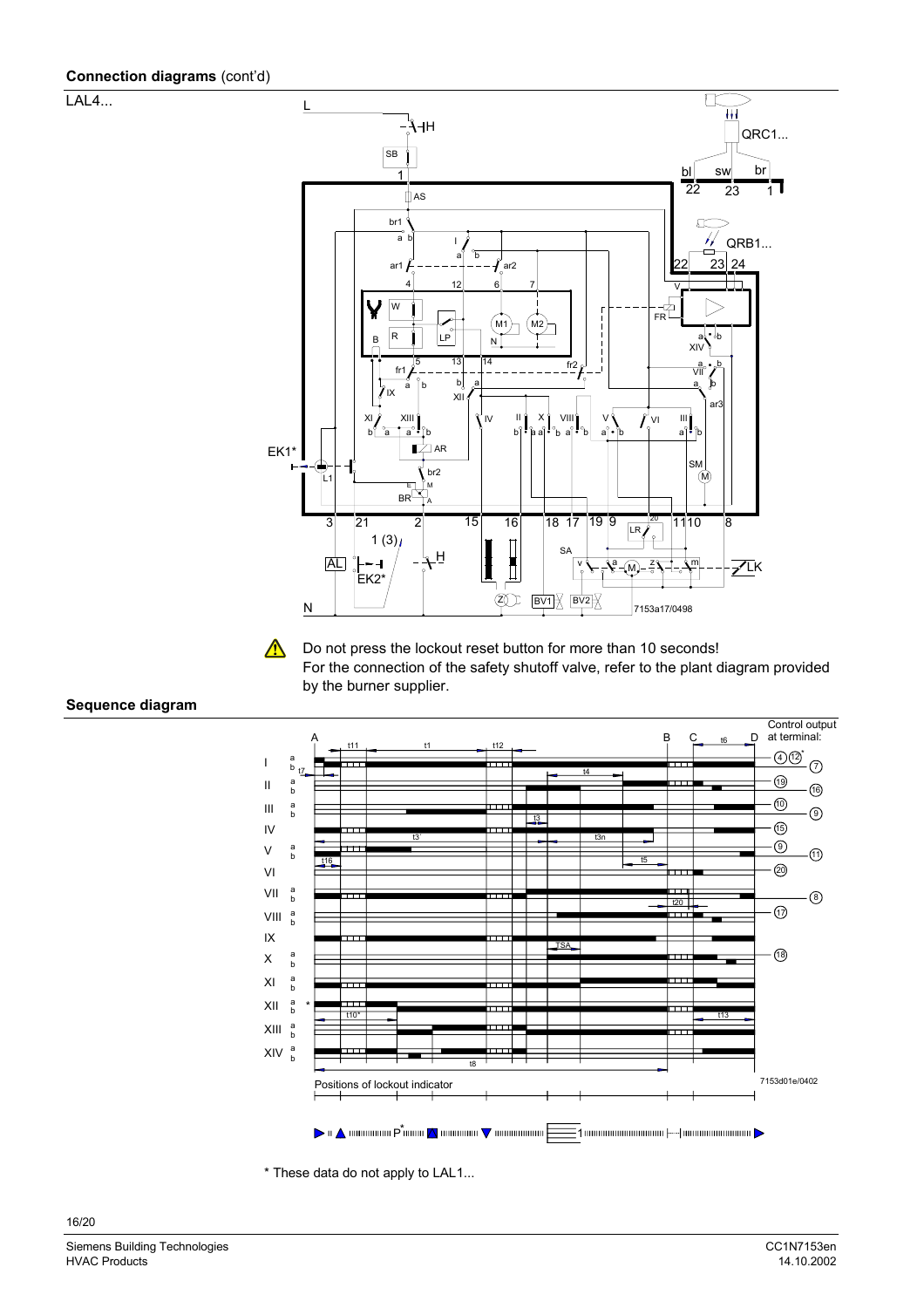



Do not press the lockout reset button for more than 10 seconds!  $\triangle$ For the connection of the safety shutoff valve, refer to the plant diagram provided by the burner supplier.



\* These data do not apply to LAL1...

**Sequence diagram**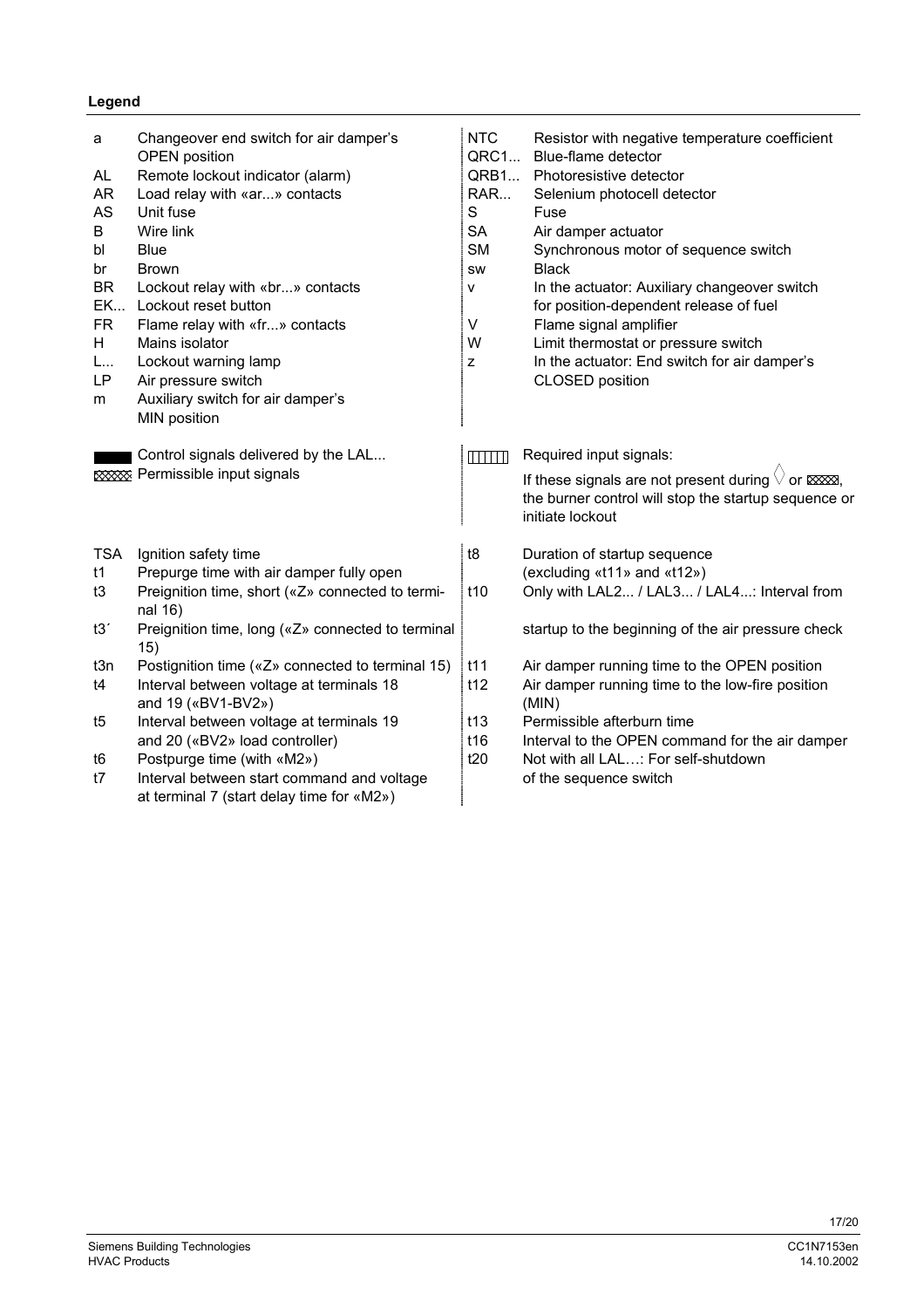# **Legend**

| a<br>AL<br><b>AR</b><br><b>AS</b><br>В<br>bl<br>br<br><b>BR</b><br><b>EK</b><br><b>FR</b><br>H<br>L<br>LP<br>m | Changeover end switch for air damper's<br><b>OPEN</b> position<br>Remote lockout indicator (alarm)<br>Load relay with «ar» contacts<br>Unit fuse<br>Wire link<br>Blue<br><b>Brown</b><br>Lockout relay with «br» contacts<br>Lockout reset button<br>Flame relay with «fr» contacts<br>Mains isolator<br>Lockout warning lamp<br>Air pressure switch<br>Auxiliary switch for air damper's<br>MIN position | <b>NTC</b><br>QRC1<br>QRB1<br>RAR<br>S<br><b>SA</b><br><b>SM</b><br>SW<br>v<br>$\mathsf{V}$<br>W<br>z | Resistor with negative temperature coefficient<br>Blue-flame detector<br>Photoresistive detector<br>Selenium photocell detector<br>Fuse<br>Air damper actuator<br>Synchronous motor of sequence switch<br><b>Black</b><br>In the actuator: Auxiliary changeover switch<br>for position-dependent release of fuel<br>Flame signal amplifier<br>Limit thermostat or pressure switch<br>In the actuator: End switch for air damper's<br>CLOSED position |
|----------------------------------------------------------------------------------------------------------------|-----------------------------------------------------------------------------------------------------------------------------------------------------------------------------------------------------------------------------------------------------------------------------------------------------------------------------------------------------------------------------------------------------------|-------------------------------------------------------------------------------------------------------|------------------------------------------------------------------------------------------------------------------------------------------------------------------------------------------------------------------------------------------------------------------------------------------------------------------------------------------------------------------------------------------------------------------------------------------------------|
|                                                                                                                | Control signals delivered by the LAL<br><b>EXXXX</b> Permissible input signals                                                                                                                                                                                                                                                                                                                            | $\Box$                                                                                                | Required input signals:<br>If these signals are not present during $\vee$ or $\frac{1}{2}$ or $\frac{1}{2}$<br>the burner control will stop the startup sequence or<br>initiate lockout                                                                                                                                                                                                                                                              |
| <b>TSA</b><br>t1<br>t3<br>t3'<br>t3n                                                                           | Ignition safety time<br>Prepurge time with air damper fully open<br>Preignition time, short («Z» connected to termi-<br>nal 16)<br>Preignition time, long («Z» connected to terminal<br>15)<br>Postignition time («Z» connected to terminal 15)                                                                                                                                                           | t8<br>t10<br>t11                                                                                      | Duration of startup sequence<br>(excluding «t11» and «t12»)<br>Only with LAL2 / LAL3 / LAL4: Interval from<br>startup to the beginning of the air pressure check<br>Air damper running time to the OPEN position                                                                                                                                                                                                                                     |
| t4                                                                                                             | Interval between voltage at terminals 18<br>and 19 («BV1-BV2»)                                                                                                                                                                                                                                                                                                                                            | t12                                                                                                   | Air damper running time to the low-fire position<br>(MIN)                                                                                                                                                                                                                                                                                                                                                                                            |
| t5<br>t6<br>t7                                                                                                 | Interval between voltage at terminals 19<br>and 20 («BV2» load controller)<br>Postpurge time (with «M2»)<br>Interval between start command and voltage<br>at terminal 7 (start delay time for «M2»)                                                                                                                                                                                                       | t13<br>t16<br>t20                                                                                     | Permissible afterburn time<br>Interval to the OPEN command for the air damper<br>Not with all LAL: For self-shutdown<br>of the sequence switch                                                                                                                                                                                                                                                                                                       |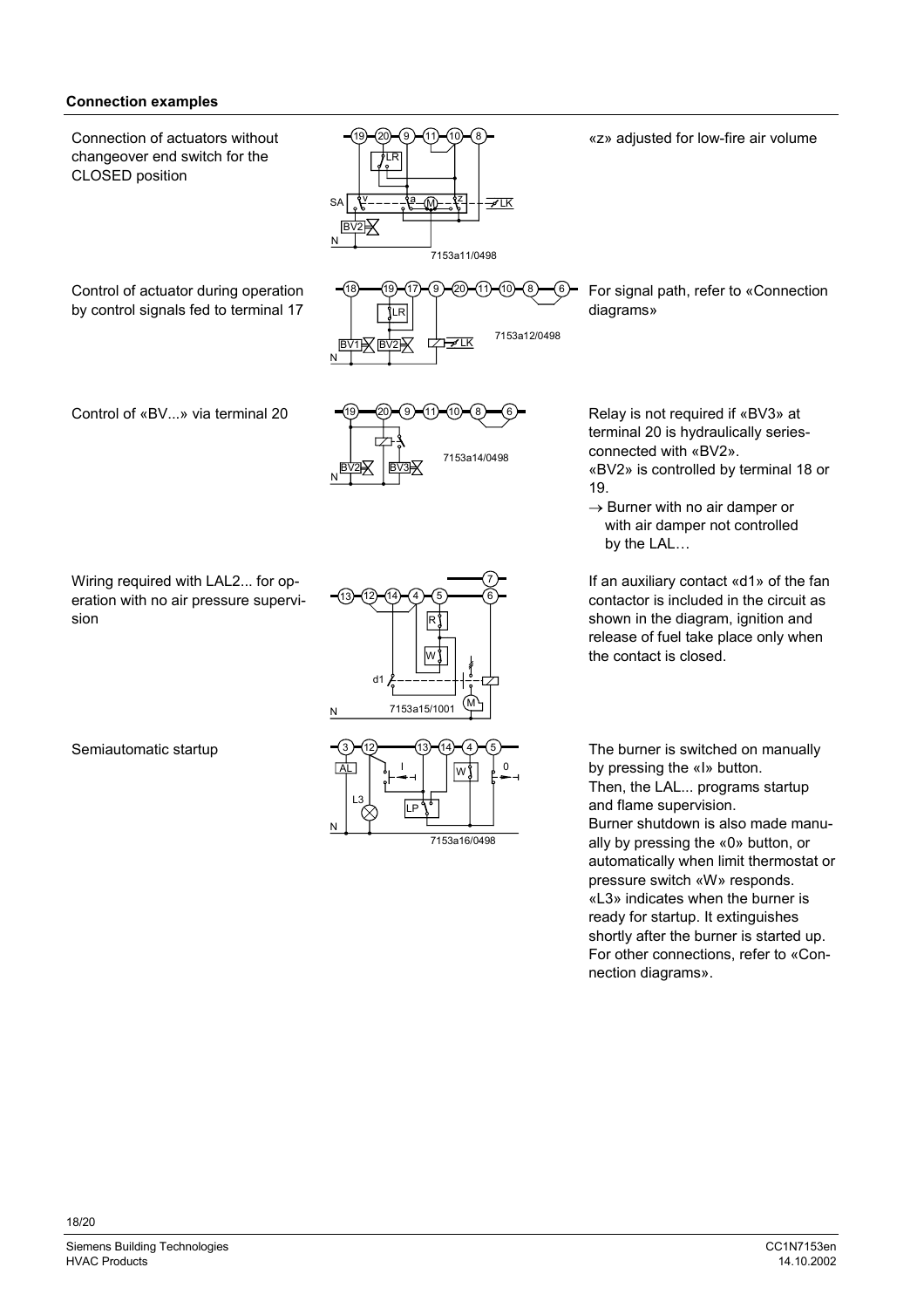## **Connection examples**



18/20

pressure switch «W» responds. «L3» indicates when the burner is ready for startup. It extinguishes shortly after the burner is started up. For other connections, refer to «Con-

nection diagrams».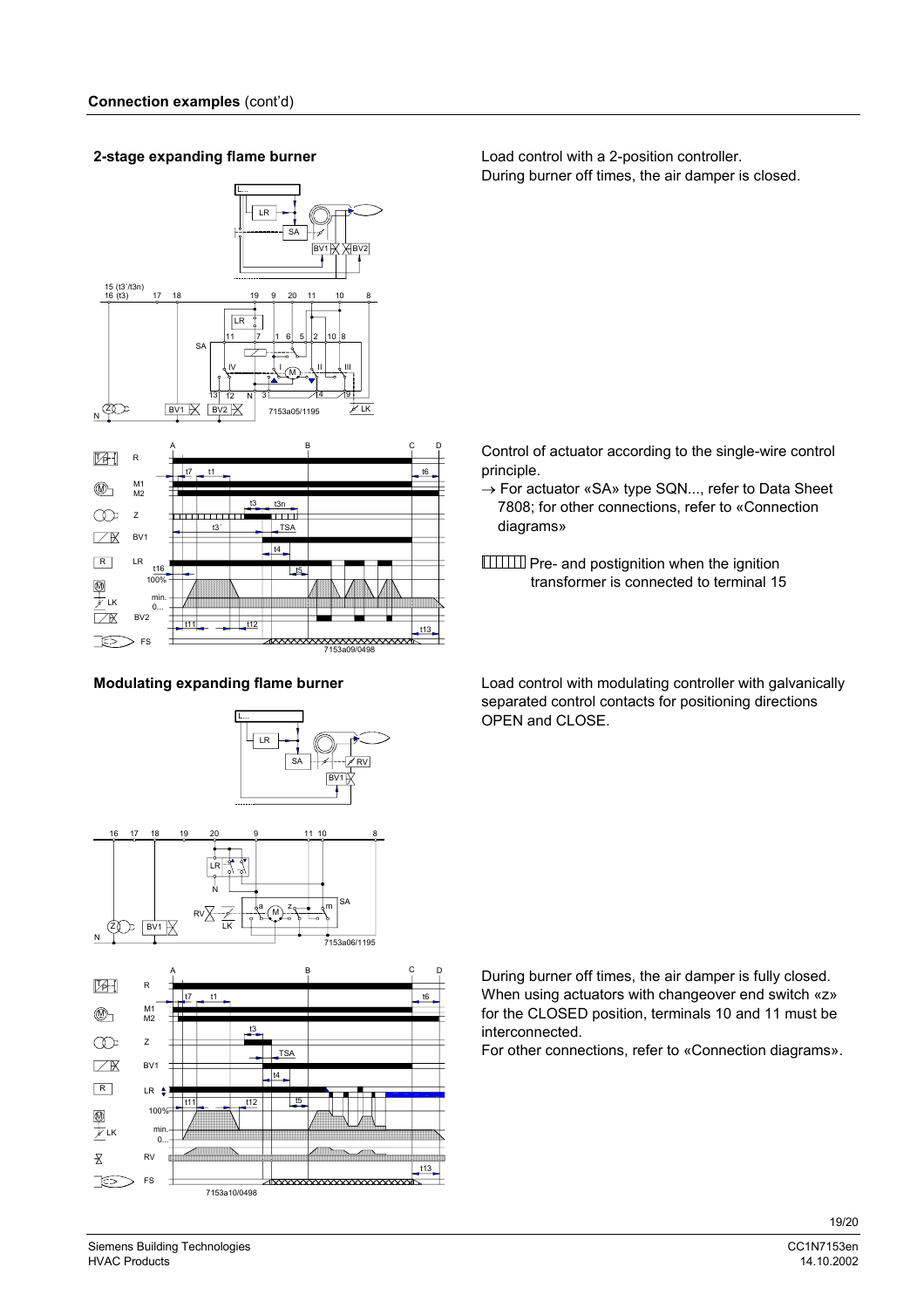## **2-stage expanding flame burner**





#### **Modulating expanding flame burner**

17







Load control with a 2-position controller. During burner off times, the air damper is closed.

Control of actuator according to the single-wire control principle.

- $\rightarrow$  For actuator «SA» type SQN..., refer to Data Sheet 7808; for other connections, refer to «Connection diagrams»
- **FITTHE** Pre- and postignition when the ignition transformer is connected to terminal 15

Load control with modulating controller with galvanically separated control contacts for positioning directions OPEN and CLOSE.

During burner off times, the air damper is fully closed. When using actuators with changeover end switch «z» for the CLOSED position, terminals 10 and 11 must be interconnected.

For other connections, refer to «Connection diagrams».